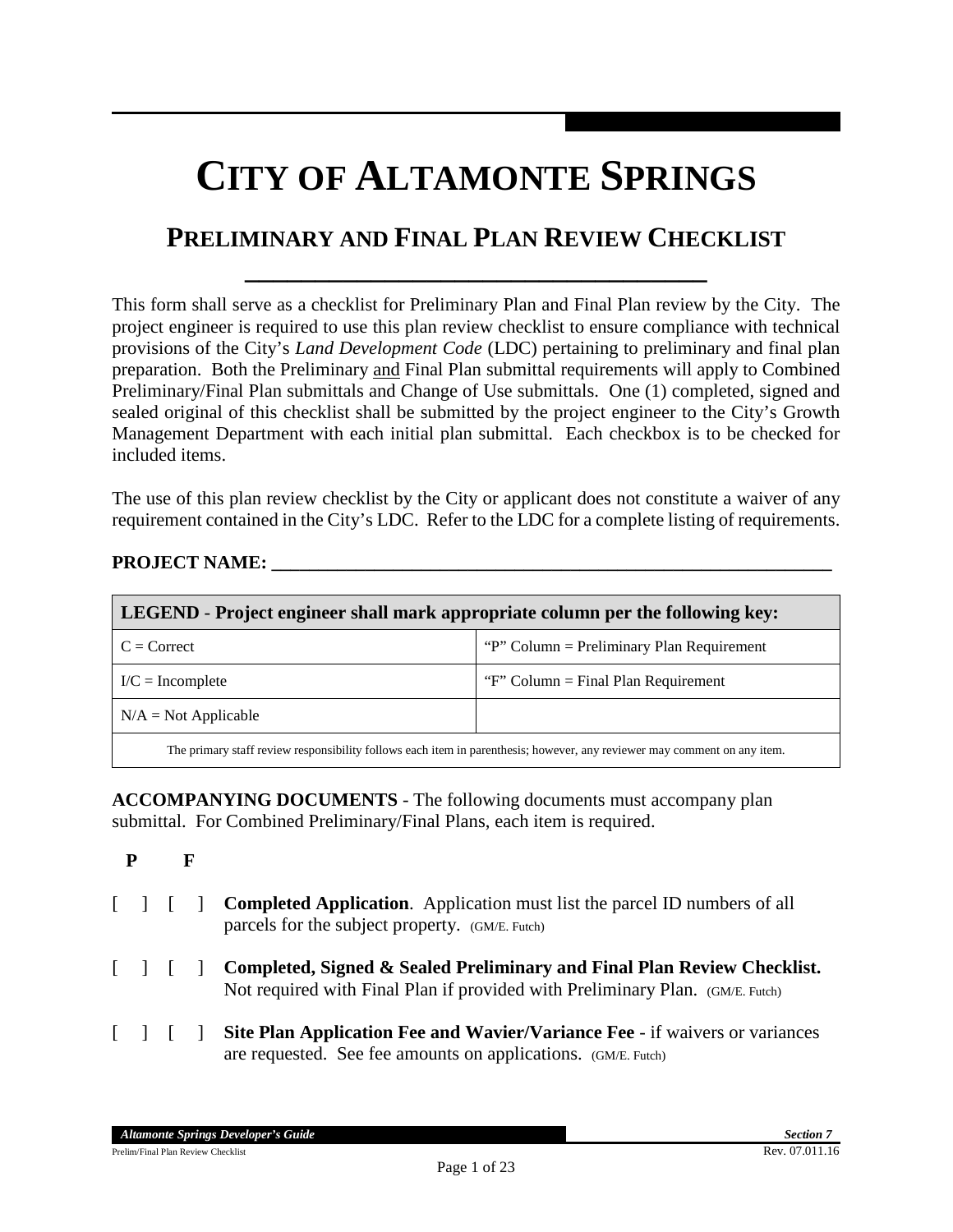# **CITY OF ALTAMONTE SPRINGS**

## **PRELIMINARY AND FINAL PLAN REVIEW CHECKLIST**

**\_\_\_\_\_\_\_\_\_\_\_\_\_\_\_\_\_\_\_\_\_\_\_\_\_\_\_\_\_\_\_\_\_**

This form shall serve as a checklist for Preliminary Plan and Final Plan review by the City. The project engineer is required to use this plan review checklist to ensure compliance with technical provisions of the City's *Land Development Code* (LDC) pertaining to preliminary and final plan preparation. Both the Preliminary and Final Plan submittal requirements will apply to Combined Preliminary/Final Plan submittals and Change of Use submittals. One (1) completed, signed and sealed original of this checklist shall be submitted by the project engineer to the City's Growth Management Department with each initial plan submittal. Each checkbox is to be checked for included items.

The use of this plan review checklist by the City or applicant does not constitute a waiver of any requirement contained in the City's LDC. Refer to the LDC for a complete listing of requirements.

#### **PROJECT NAME:**

| <b>LEGEND</b> - Project engineer shall mark appropriate column per the following key:                                    |                                           |  |  |
|--------------------------------------------------------------------------------------------------------------------------|-------------------------------------------|--|--|
| $C = Correct$                                                                                                            | "P" Column = Preliminary Plan Requirement |  |  |
| $I/C = Incomplete$                                                                                                       | "F" Column = Final Plan Requirement       |  |  |
| $N/A = Not Applicable$                                                                                                   |                                           |  |  |
| The primary staff review responsibility follows each item in parenthesis; however, any reviewer may comment on any item. |                                           |  |  |

**ACCOMPANYING DOCUMENTS** - The following documents must accompany plan submittal. For Combined Preliminary/Final Plans, each item is required.

- **P F**
- [ ] [ ] **Completed Application**. Application must list the parcel ID numbers of all parcels for the subject property.(GM/E. Futch)
- [ ] [ ] **Completed, Signed & Sealed Preliminary and Final Plan Review Checklist.**  Not required with Final Plan if provided with Preliminary Plan. (GM/E. Futch)
- [ ] [ ] **Site Plan Application Fee and Wavier/Variance Fee**  if waivers or variances are requested. See fee amounts on applications.(GM/E. Futch)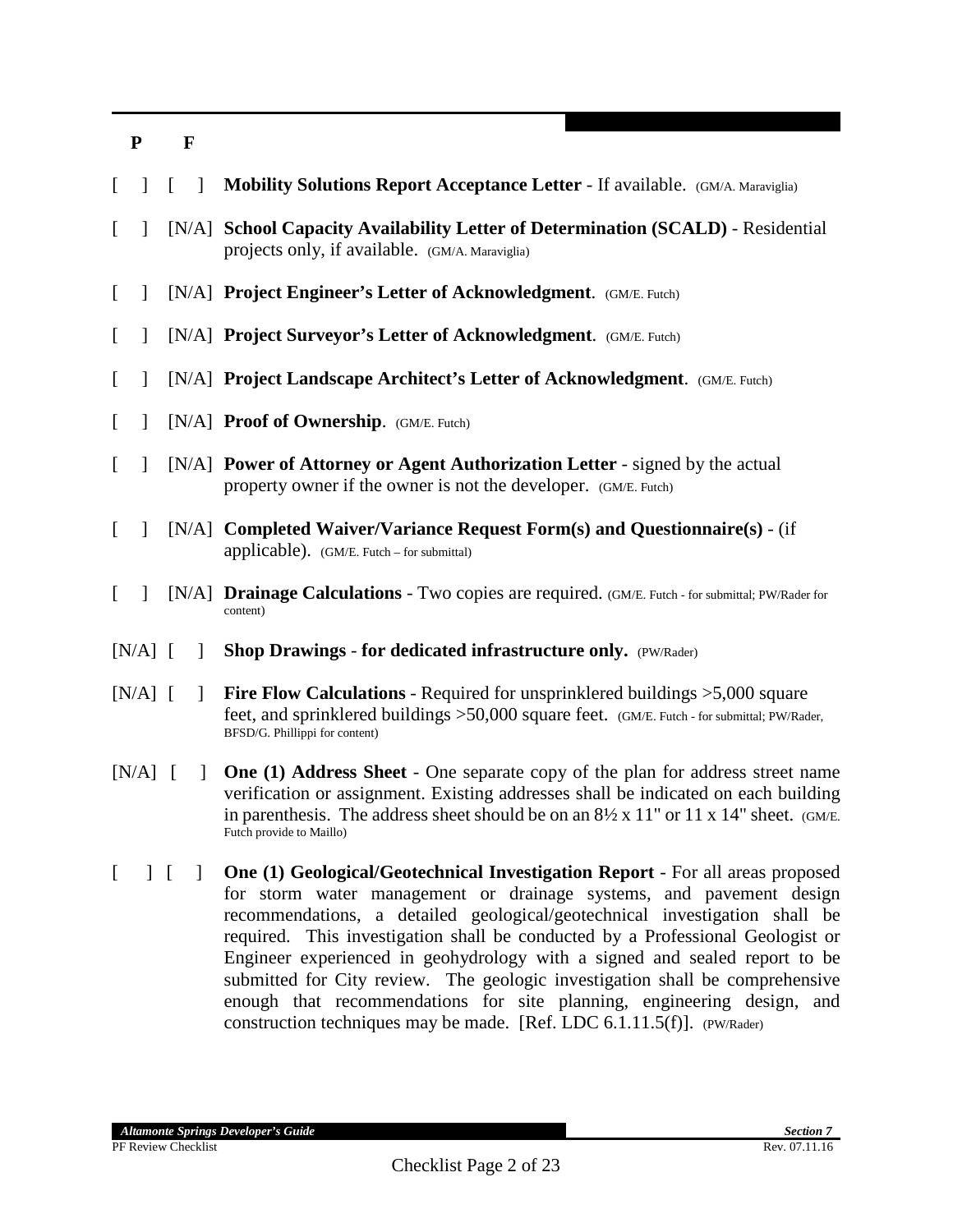| L        | $\overline{1}$ |  | $\Box$       | Mobility Solutions Report Acceptance Letter - If available. (GM/A. Maraviglia)                                                                                                                                                                                                                                       |
|----------|----------------|--|--------------|----------------------------------------------------------------------------------------------------------------------------------------------------------------------------------------------------------------------------------------------------------------------------------------------------------------------|
| L        | 1              |  |              | [N/A] School Capacity Availability Letter of Determination (SCALD) - Residential<br>projects only, if available. (GM/A. Maraviglia)                                                                                                                                                                                  |
| L        | $\mathbf{I}$   |  |              | [N/A] Project Engineer's Letter of Acknowledgment. (GM/E. Futch)                                                                                                                                                                                                                                                     |
| L        | 1              |  |              | [N/A] Project Surveyor's Letter of Acknowledgment. (GM/E. Futch)                                                                                                                                                                                                                                                     |
| [        | $\mathbf{I}$   |  |              | [N/A] Project Landscape Architect's Letter of Acknowledgment. (GM/E. Futch)                                                                                                                                                                                                                                          |
| [        | $\mathbf{I}$   |  |              | [N/A] Proof of Ownership. (GM/E. Futch)                                                                                                                                                                                                                                                                              |
| L        | $\mathbf{I}$   |  |              | [N/A] Power of Attorney or Agent Authorization Letter - signed by the actual<br>property owner if the owner is not the developer. (GM/E. Futch)                                                                                                                                                                      |
| L        | $\mathbf{1}$   |  |              | [N/A] Completed Waiver/Variance Request Form(s) and Questionnaire(s) - (if<br>applicable). (GM/E. Futch – for submittal)                                                                                                                                                                                             |
| $\Gamma$ | $\mathbf{1}$   |  |              | [N/A] <b>Drainage Calculations</b> - Two copies are required. (GM/E. Futch - for submittal; PW/Rader for<br>content)                                                                                                                                                                                                 |
|          | $[N/A]$ [      |  | $\perp$      | Shop Drawings - for dedicated infrastructure only. (PW/Rader)                                                                                                                                                                                                                                                        |
|          | $[N/A]$ [      |  | $\mathbf{1}$ | <b>Fire Flow Calculations</b> - Required for unsprinklered buildings $>5,000$ square<br>feet, and sprinklered buildings >50,000 square feet. (GM/E. Futch - for submittal; PW/Rader,<br>BFSD/G. Phillippi for content)                                                                                               |
|          | $[N/A]$ [      |  | $\mathbf{I}$ | One (1) Address Sheet - One separate copy of the plan for address street name<br>verification or assignment. Existing addresses shall be indicated on each building<br>in parenthesis. The address sheet should be on an $8\frac{1}{2} \times 11$ " or 11 x 14" sheet. (GM/E.<br>Futch provide to Maillo)            |
| $\Gamma$ | $\vert \vert$  |  | $\mathbf{I}$ | One (1) Geological/Geotechnical Investigation Report - For all areas proposed<br>for storm water management or drainage systems, and pavement design<br>recommendations, a detailed geological/geotechnical investigation shall be<br>required. This investigation shall be conducted by a Professional Geologist or |

required. This investigation shall be conducted by a Professional Geologist or Engineer experienced in geohydrology with a signed and sealed report to be submitted for City review. The geologic investigation shall be comprehensive enough that recommendations for site planning, engineering design, and construction techniques may be made. [Ref. LDC 6.1.11.5(f)]. (PW/Rader)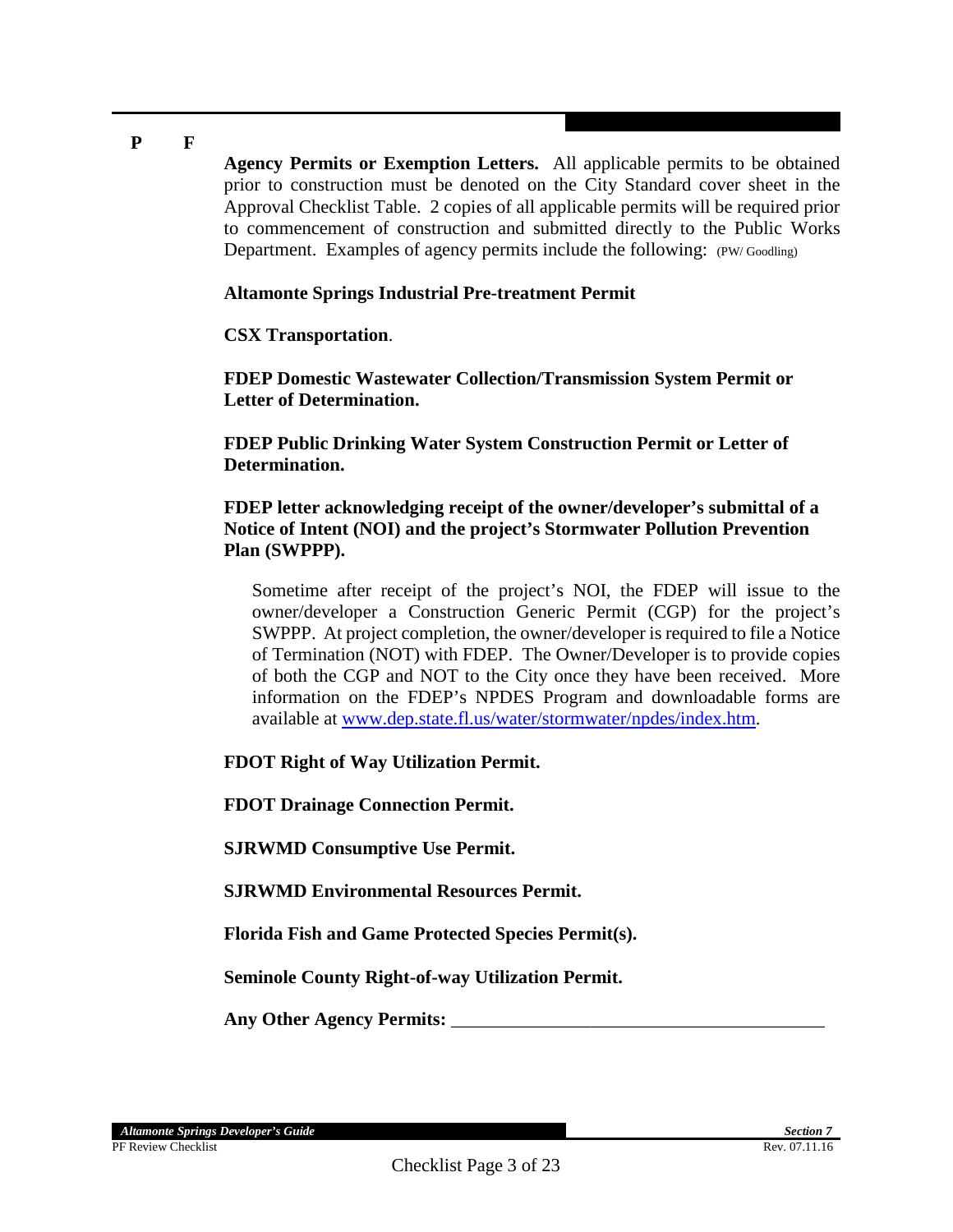**Agency Permits or Exemption Letters.** All applicable permits to be obtained prior to construction must be denoted on the City Standard cover sheet in the Approval Checklist Table. 2 copies of all applicable permits will be required prior to commencement of construction and submitted directly to the Public Works Department. Examples of agency permits include the following: (PW/Goodling)

#### **Altamonte Springs Industrial Pre-treatment Permit**

**CSX Transportation**.

**FDEP Domestic Wastewater Collection/Transmission System Permit or Letter of Determination.**

**FDEP Public Drinking Water System Construction Permit or Letter of Determination.**

**FDEP letter acknowledging receipt of the owner/developer's submittal of a Notice of Intent (NOI) and the project's Stormwater Pollution Prevention Plan (SWPPP).**

Sometime after receipt of the project's NOI, the FDEP will issue to the owner/developer a Construction Generic Permit (CGP) for the project's SWPPP. At project completion, the owner/developer is required to file a Notice of Termination (NOT) with FDEP. The Owner/Developer is to provide copies of both the CGP and NOT to the City once they have been received. More information on the FDEP's NPDES Program and downloadable forms are available at [www.dep.state.fl.us/water/stormwater/npdes/index.htm.](http://www.dep.state.fl.us/water/stormwater/npdes/index.htm)

**FDOT Right of Way Utilization Permit.**

**FDOT Drainage Connection Permit.**

**SJRWMD Consumptive Use Permit.**

**SJRWMD Environmental Resources Permit.**

**Florida Fish and Game Protected Species Permit(s).**

**Seminole County Right-of-way Utilization Permit.**

Any Other Agency Permits: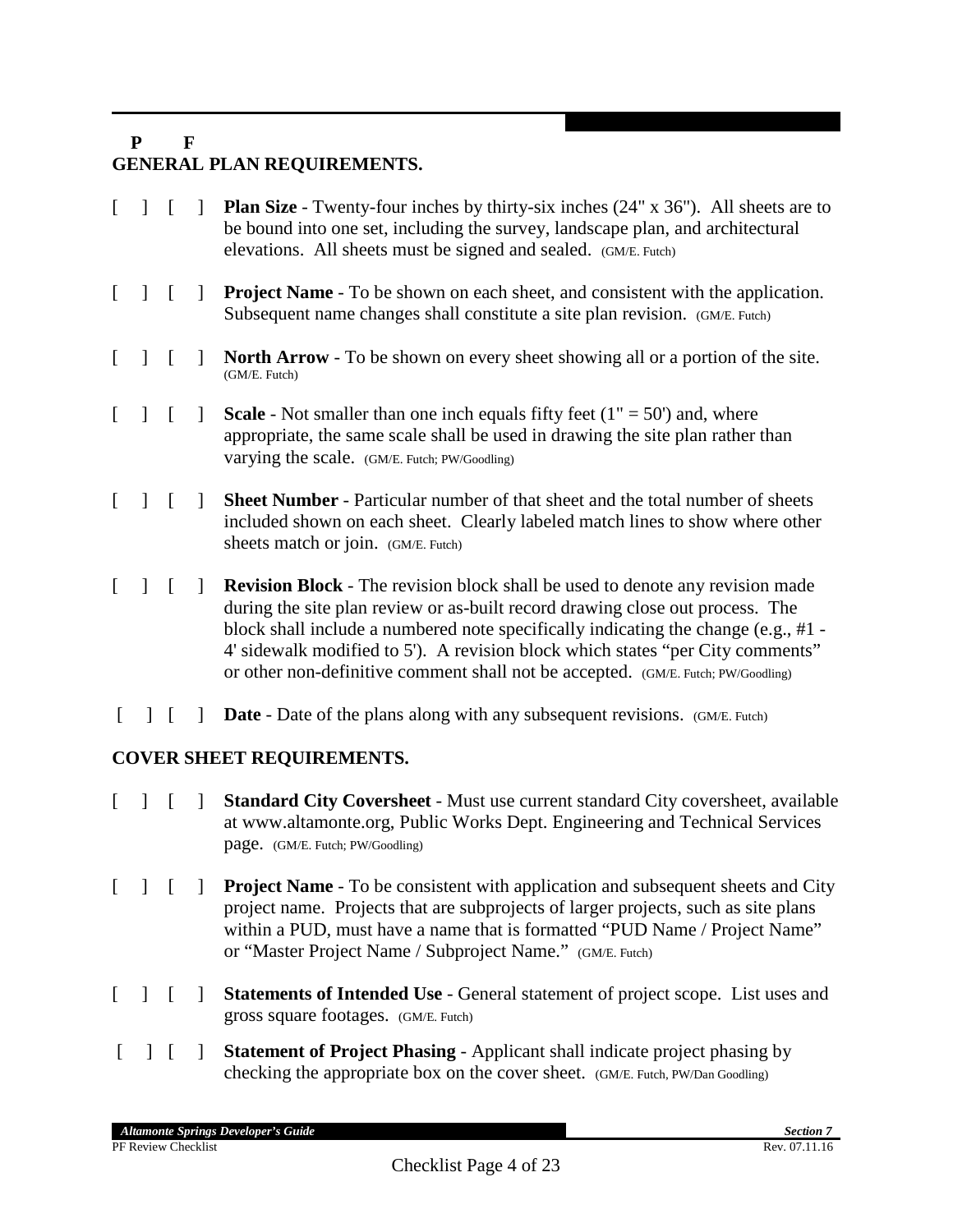## **P F GENERAL PLAN REQUIREMENTS.**

- [ ] [ ] **Plan Size** Twenty-four inches by thirty-six inches (24" x 36"). All sheets are to be bound into one set, including the survey, landscape plan, and architectural elevations. All sheets must be signed and sealed. (GM/E. Futch)
- [ ] [ ] **Project Name** To be shown on each sheet, and consistent with the application. Subsequent name changes shall constitute a site plan revision. (GM/E. Futch)
- [ ] [ ] **North Arrow** To be shown on every sheet showing all or a portion of the site. (GM/E. Futch)
- $\begin{bmatrix} 1 \\ 1 \end{bmatrix}$  **Scale** Not smaller than one inch equals fifty feet  $(1'' = 50'')$  and, where appropriate, the same scale shall be used in drawing the site plan rather than varying the scale. (GM/E. Futch; PW/Goodling)
- [ ] [ ] **Sheet Number** Particular number of that sheet and the total number of sheets included shown on each sheet. Clearly labeled match lines to show where other sheets match or join. (GM/E. Futch)
- [ ] [ ] **Revision Block** The revision block shall be used to denote any revision made during the site plan review or as-built record drawing close out process. The block shall include a numbered note specifically indicating the change (e.g., #1 - 4' sidewalk modified to 5'). A revision block which states "per City comments" or other non-definitive comment shall not be accepted. (GM/E. Futch; PW/Goodling)
- [ ]  $\blacksquare$  **Date** Date of the plans along with any subsequent revisions. (GM/E. Futch)

## **COVER SHEET REQUIREMENTS.**

- [ ] [ ] **Standard City Coversheet** Must use current standard City coversheet, available at www.altamonte.org, Public Works Dept. Engineering and Technical Services page. (GM/E. Futch; PW/Goodling)
- [ ] [ ] **Project Name** To be consistent with application and subsequent sheets and City project name. Projects that are subprojects of larger projects, such as site plans within a PUD, must have a name that is formatted "PUD Name / Project Name" or "Master Project Name / Subproject Name." (GM/E. Futch)
- [ ] [ ] **Statements of Intended Use**  General statement of project scope. List uses and gross square footages. (GM/E. Futch)
- [ ] [ ] **Statement of Project Phasing**  Applicant shall indicate project phasing by checking the appropriate box on the cover sheet. (GM/E. Futch, PW/Dan Goodling)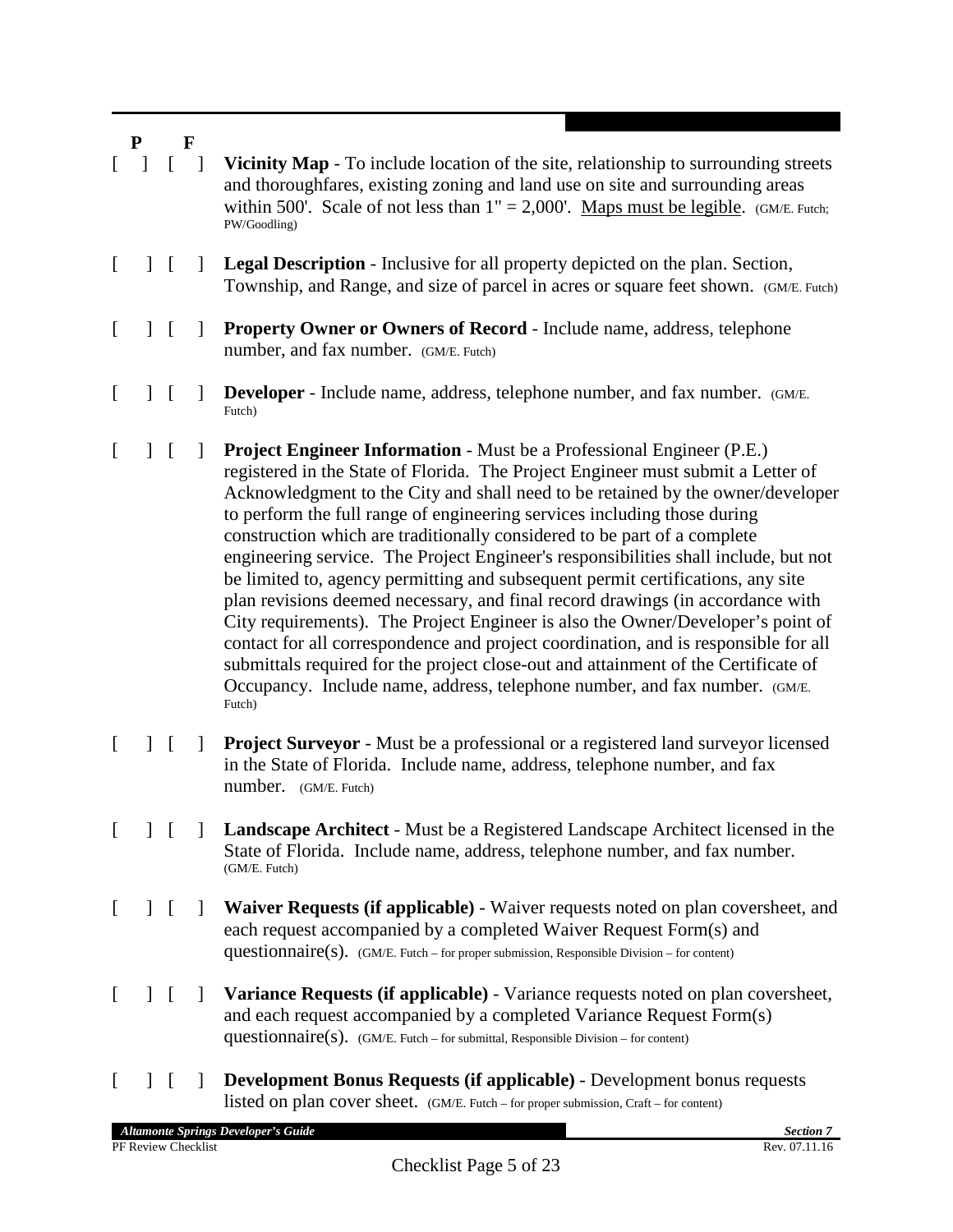[ ] [ ] **Vicinity Map** - To include location of the site, relationship to surrounding streets and thoroughfares, existing zoning and land use on site and surrounding areas within 500'. Scale of not less than  $1'' = 2,000'$ . Maps must be legible. (GM/E. Futch; PW/Goodling) [ ] [ ] **Legal Description** - Inclusive for all property depicted on the plan. Section, Township, and Range, and size of parcel in acres or square feet shown. (GM/E. Futch) [ ] [ ] **Property Owner or Owners of Record** - Include name, address, telephone number, and fax number. (GM/E. Futch) [ ] **[ ] Developer** - Include name, address, telephone number, and fax number. (GM/E. Futch) [ ] [ ] **Project Engineer Information** - Must be a Professional Engineer (P.E.) registered in the State of Florida. The Project Engineer must submit a Letter of Acknowledgment to the City and shall need to be retained by the owner/developer to perform the full range of engineering services including those during

Futch) [ ] [ ] **Project Surveyor** - Must be a professional or a registered land surveyor licensed in the State of Florida. Include name, address, telephone number, and fax number. (GM/E. Futch)

construction which are traditionally considered to be part of a complete

engineering service. The Project Engineer's responsibilities shall include, but not be limited to, agency permitting and subsequent permit certifications, any site plan revisions deemed necessary, and final record drawings (in accordance with City requirements). The Project Engineer is also the Owner/Developer's point of contact for all correspondence and project coordination, and is responsible for all submittals required for the project close-out and attainment of the Certificate of Occupancy. Include name, address, telephone number, and fax number. (GM/E.

- [ ] [ ] **Landscape Architect** Must be a Registered Landscape Architect licensed in the State of Florida. Include name, address, telephone number, and fax number. (GM/E. Futch)
- [ ] [ ] **Waiver Requests (if applicable)** Waiver requests noted on plan coversheet, and each request accompanied by a completed Waiver Request Form(s) and questionnaire(s). (GM/E. Futch – for proper submission, Responsible Division – for content)
- [ ] [ ] **Variance Requests (if applicable)** Variance requests noted on plan coversheet, and each request accompanied by a completed Variance Request Form(s) questionnaire(s).  $(GM/E.$  Futch – for submittal, Responsible Division – for content)
- [ ] [ ] **Development Bonus Requests (if applicable)** Development bonus requests listed on plan cover sheet. (GM/E. Futch – for proper submission, Craft – for content)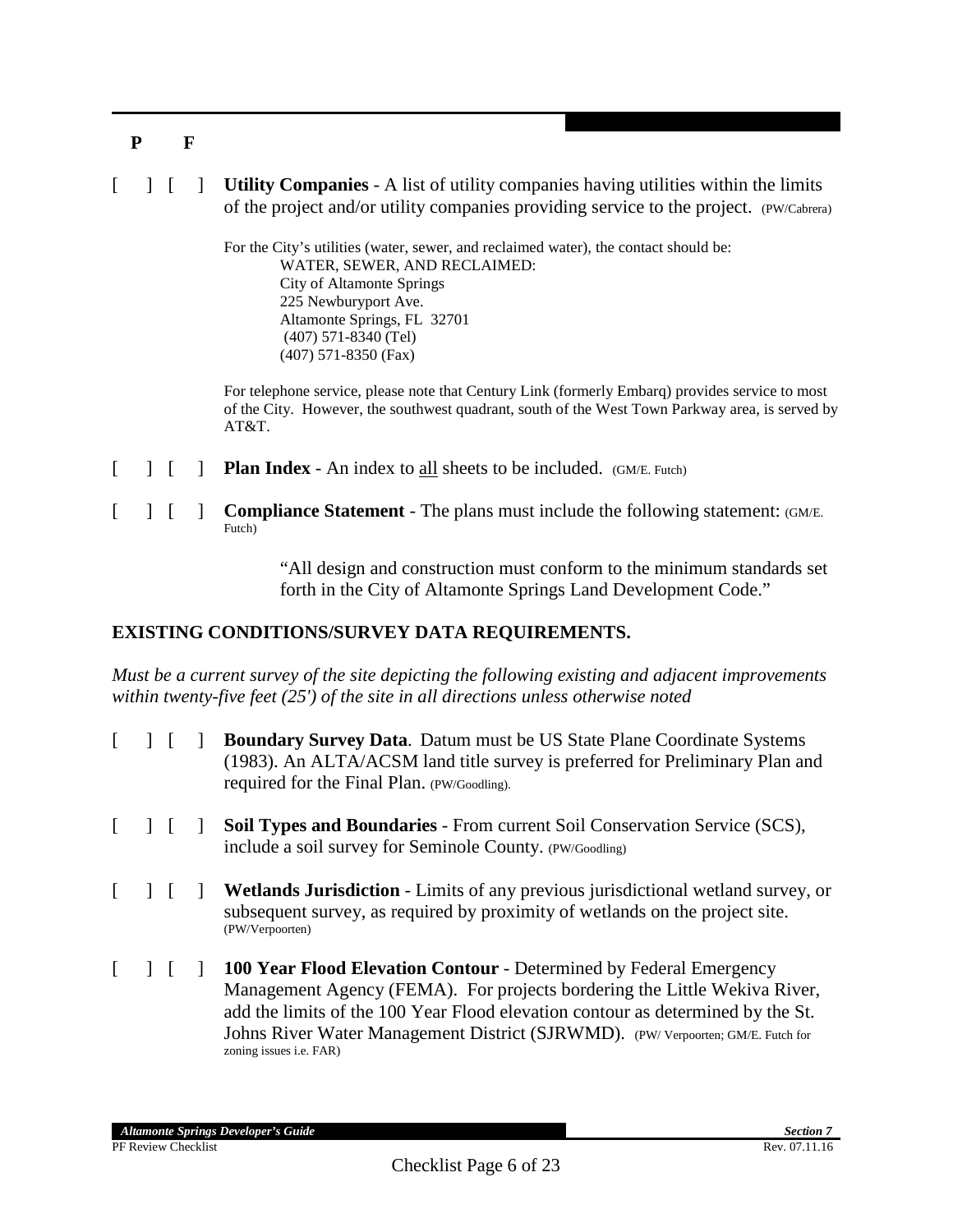[ ] [ ] **Utility Companies** - A list of utility companies having utilities within the limits of the project and/or utility companies providing service to the project. (PW/Cabrera)

> For the City's utilities (water, sewer, and reclaimed water), the contact should be: WATER, SEWER, AND RECLAIMED: City of Altamonte Springs 225 Newburyport Ave. Altamonte Springs, FL 32701 (407) 571-8340 (Tel) (407) 571-8350 (Fax)

For telephone service, please note that Century Link (formerly Embarq) provides service to most of the City. However, the southwest quadrant, south of the West Town Parkway area, is served by AT&T.

- $\begin{bmatrix} \phantom{i} \end{bmatrix}$  **Plan Index** An index to all sheets to be included. (GM/E. Futch)
- [ ] [ ] **Compliance Statement** The plans must include the following statement: (GM/E. Futch)

"All design and construction must conform to the minimum standards set forth in the City of Altamonte Springs Land Development Code."

#### **EXISTING CONDITIONS/SURVEY DATA REQUIREMENTS.**

*Must be a current survey of the site depicting the following existing and adjacent improvements within twenty-five feet (25') of the site in all directions unless otherwise noted*

- [ ] [ ] **Boundary Survey Data**. Datum must be US State Plane Coordinate Systems (1983). An ALTA/ACSM land title survey is preferred for Preliminary Plan and required for the Final Plan. (PW/Goodling).
- [ ] [ ] **Soil Types and Boundaries**  From current Soil Conservation Service (SCS), include a soil survey for Seminole County. (PW/Goodling)
- [ ] [ ] **Wetlands Jurisdiction** Limits of any previous jurisdictional wetland survey, or subsequent survey, as required by proximity of wetlands on the project site. (PW/Verpoorten)
- [ ] [ ] **100 Year Flood Elevation Contour** Determined by Federal Emergency Management Agency (FEMA). For projects bordering the Little Wekiva River, add the limits of the 100 Year Flood elevation contour as determined by the St. Johns River Water Management District (SJRWMD). (PW/ Verpoorten; GM/E. Futch for zoning issues i.e. FAR)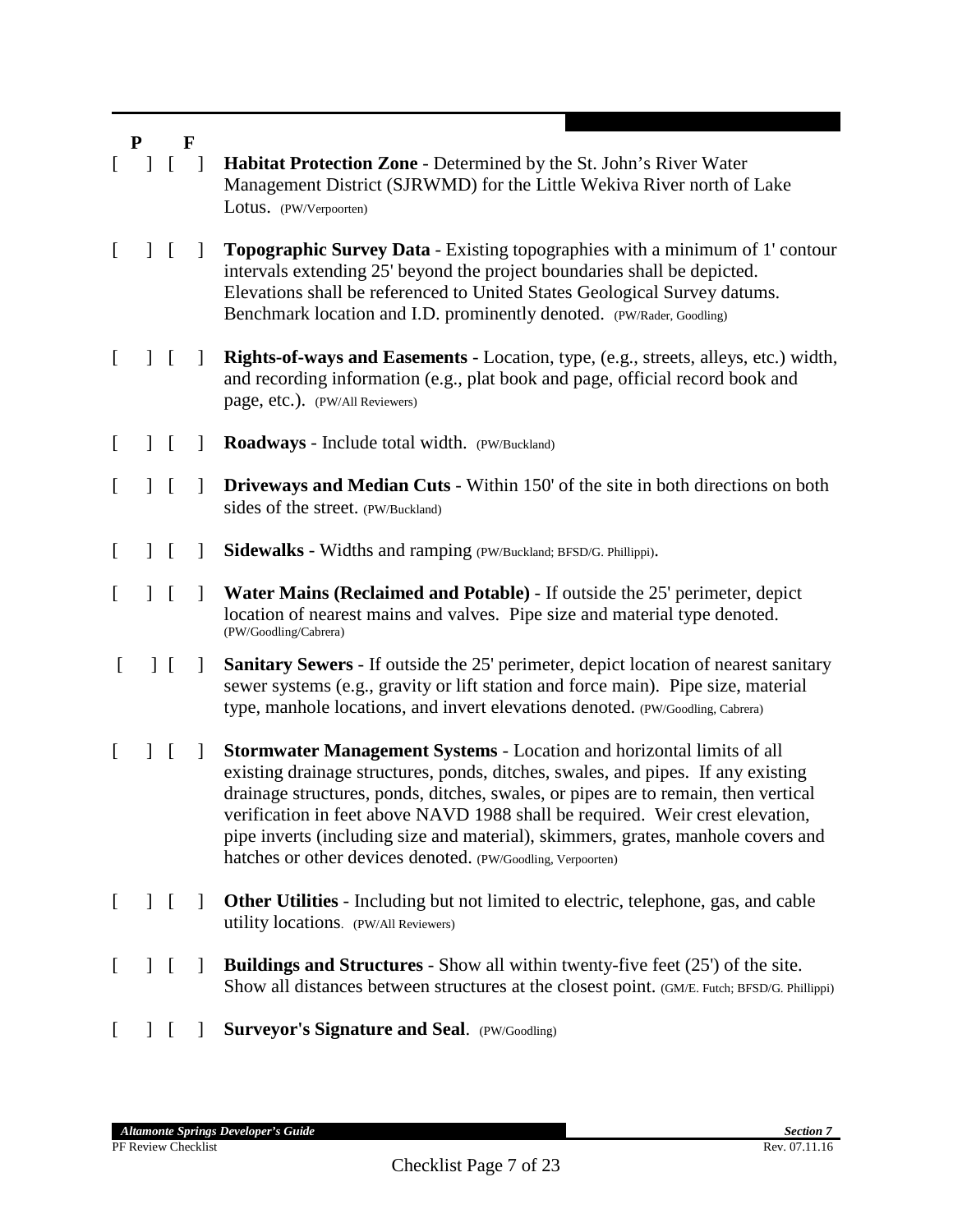|          | ${\bf P}$    |               | $\mathbf F$  |                                                                                                                                                                                                                                                                                                                                                                                                                                                                                            |
|----------|--------------|---------------|--------------|--------------------------------------------------------------------------------------------------------------------------------------------------------------------------------------------------------------------------------------------------------------------------------------------------------------------------------------------------------------------------------------------------------------------------------------------------------------------------------------------|
|          |              |               | $\Box$       | <b>Habitat Protection Zone - Determined by the St. John's River Water</b><br>Management District (SJRWMD) for the Little Wekiva River north of Lake<br>Lotus. (PW/Verpoorten)                                                                                                                                                                                                                                                                                                              |
| L        | $\mathbf{I}$ | $\Gamma$      | $\perp$      | <b>Topographic Survey Data - Existing topographies with a minimum of 1' contour</b><br>intervals extending 25' beyond the project boundaries shall be depicted.<br>Elevations shall be referenced to United States Geological Survey datums.<br>Benchmark location and I.D. prominently denoted. (PW/Rader, Goodling)                                                                                                                                                                      |
| L        |              | $\mathsf{L}$  | $\mathbf{I}$ | <b>Rights-of-ways and Easements - Location</b> , type, (e.g., streets, alleys, etc.) width,<br>and recording information (e.g., plat book and page, official record book and<br>page, etc.). (PW/All Reviewers)                                                                                                                                                                                                                                                                            |
| $\lceil$ |              | $\Gamma$      | 1            | Roadways - Include total width. (PW/Buckland)                                                                                                                                                                                                                                                                                                                                                                                                                                              |
| L        |              | $\Gamma$      | 1            | Driveways and Median Cuts - Within 150' of the site in both directions on both<br>sides of the street. (PW/Buckland)                                                                                                                                                                                                                                                                                                                                                                       |
| L        |              | $\Gamma$      | $\mathbf{I}$ | Sidewalks - Widths and ramping (PW/Buckland; BFSD/G. Phillippi).                                                                                                                                                                                                                                                                                                                                                                                                                           |
| [        |              | $\Gamma$      | $\perp$      | Water Mains (Reclaimed and Potable) - If outside the 25' perimeter, depict<br>location of nearest mains and valves. Pipe size and material type denoted.<br>(PW/Goodling/Cabrera)                                                                                                                                                                                                                                                                                                          |
| L        |              | $\perp$       | $\mathbf{I}$ | Sanitary Sewers - If outside the 25' perimeter, depict location of nearest sanitary<br>sewer systems (e.g., gravity or lift station and force main). Pipe size, material<br>type, manhole locations, and invert elevations denoted. (PW/Goodling, Cabrera)                                                                                                                                                                                                                                 |
| L        |              | $\mathbf{I}$  | $\perp$      | <b>Stormwater Management Systems - Location and horizontal limits of all</b><br>existing drainage structures, ponds, ditches, swales, and pipes. If any existing<br>drainage structures, ponds, ditches, swales, or pipes are to remain, then vertical<br>verification in feet above NAVD 1988 shall be required. Weir crest elevation,<br>pipe inverts (including size and material), skimmers, grates, manhole covers and<br>hatches or other devices denoted. (PW/Goodling, Verpoorten) |
| $\Gamma$ |              | $\vert \vert$ | $\mathbf{I}$ | <b>Other Utilities</b> - Including but not limited to electric, telephone, gas, and cable<br>utility locations. (PW/All Reviewers)                                                                                                                                                                                                                                                                                                                                                         |
| $\Gamma$ |              | $\mathbf{I}$  |              | <b>Buildings and Structures</b> - Show all within twenty-five feet (25') of the site.<br>Show all distances between structures at the closest point. (GM/E. Futch; BFSD/G. Phillippi)                                                                                                                                                                                                                                                                                                      |
|          |              |               |              | <b>Surveyor's Signature and Seal.</b> (PW/Goodling)                                                                                                                                                                                                                                                                                                                                                                                                                                        |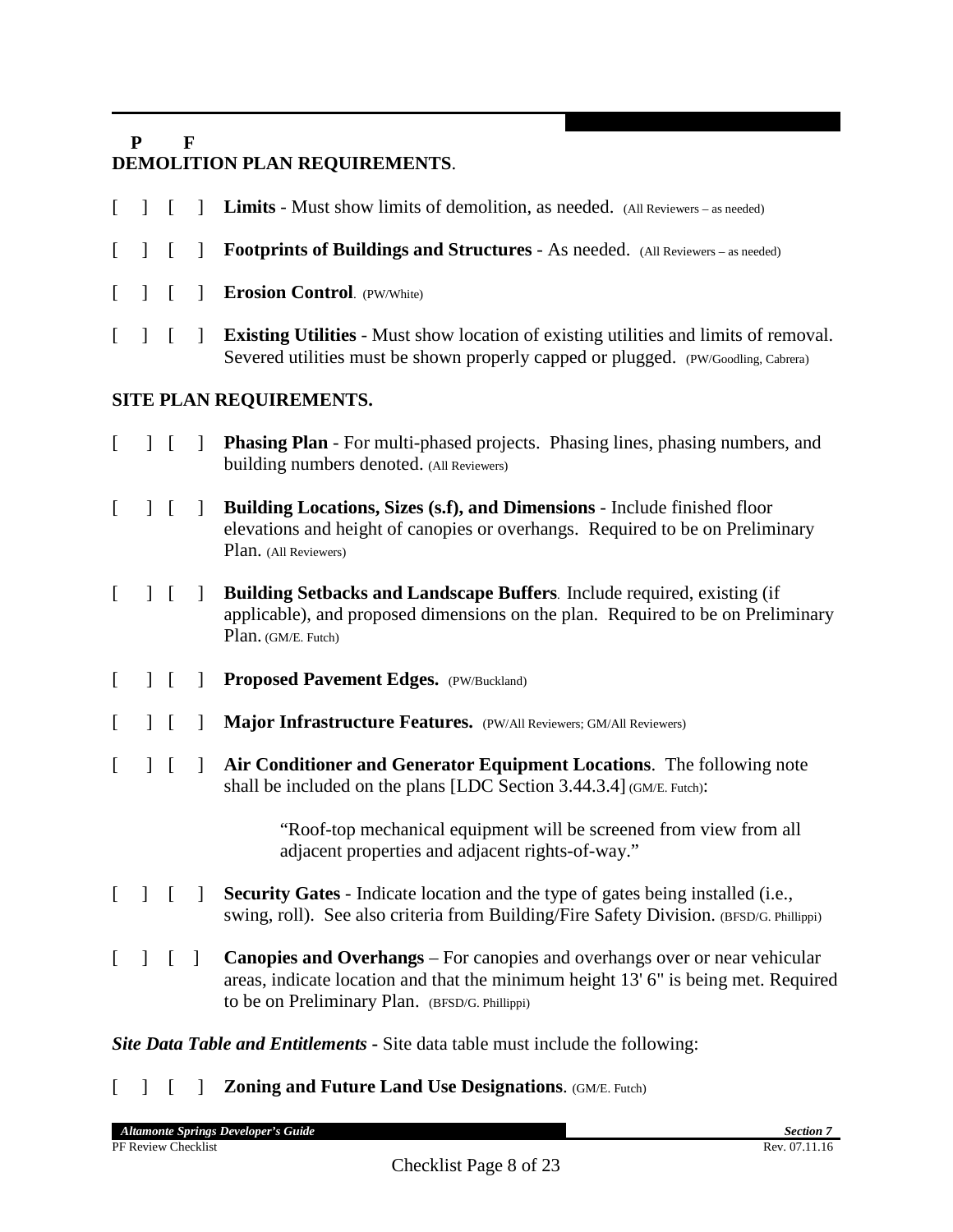## **P F DEMOLITION PLAN REQUIREMENTS**.

- [ ] [ ] **Limits** Must show limits of demolition, as needed. (All Reviewers as needed)
- [ ] [ ] **Footprints of Buildings and Structures** As needed. (All Reviewers as needed)
- [ ] [ ] **Erosion Control**. (PW/White)
- [ ] [ ] **Existing Utilities** Must show location of existing utilities and limits of removal. Severed utilities must be shown properly capped or plugged. (PW/Goodling, Cabrera)

## **SITE PLAN REQUIREMENTS.**

- [ ] [ ] **Phasing Plan** For multi-phased projects. Phasing lines, phasing numbers, and building numbers denoted. (All Reviewers)
- [ ] [ ] **Building Locations, Sizes (s.f), and Dimensions**  Include finished floor elevations and height of canopies or overhangs. Required to be on Preliminary Plan. (All Reviewers)
- [ ] [ ] **Building Setbacks and Landscape Buffers**. Include required, existing (if applicable), and proposed dimensions on the plan. Required to be on Preliminary Plan. (GM/E. Futch)
- [ ] [ ] **Proposed Pavement Edges.** (PW/Buckland)
- [ ] [ ] **Major Infrastructure Features.** (PW/All Reviewers; GM/All Reviewers)
- [ ] [ ] **Air Conditioner and Generator Equipment Locations**. The following note shall be included on the plans [LDC Section 3.44.3.4] (GM/E. Futch):

"Roof-top mechanical equipment will be screened from view from all adjacent properties and adjacent rights-of-way."

- [ ] [ ] **Security Gates** Indicate location and the type of gates being installed (i.e., swing, roll). See also criteria from Building/Fire Safety Division. (BFSD/G. Phillippi)
- [ ] [ ] **Canopies and Overhangs** For canopies and overhangs over or near vehicular areas, indicate location and that the minimum height 13' 6" is being met. Required to be on Preliminary Plan. (BFSD/G. Phillippi)

*Site Data Table and Entitlements* **-** Site data table must include the following:

[ ] [ ] **Zoning and Future Land Use Designations**. (GM/E. Futch)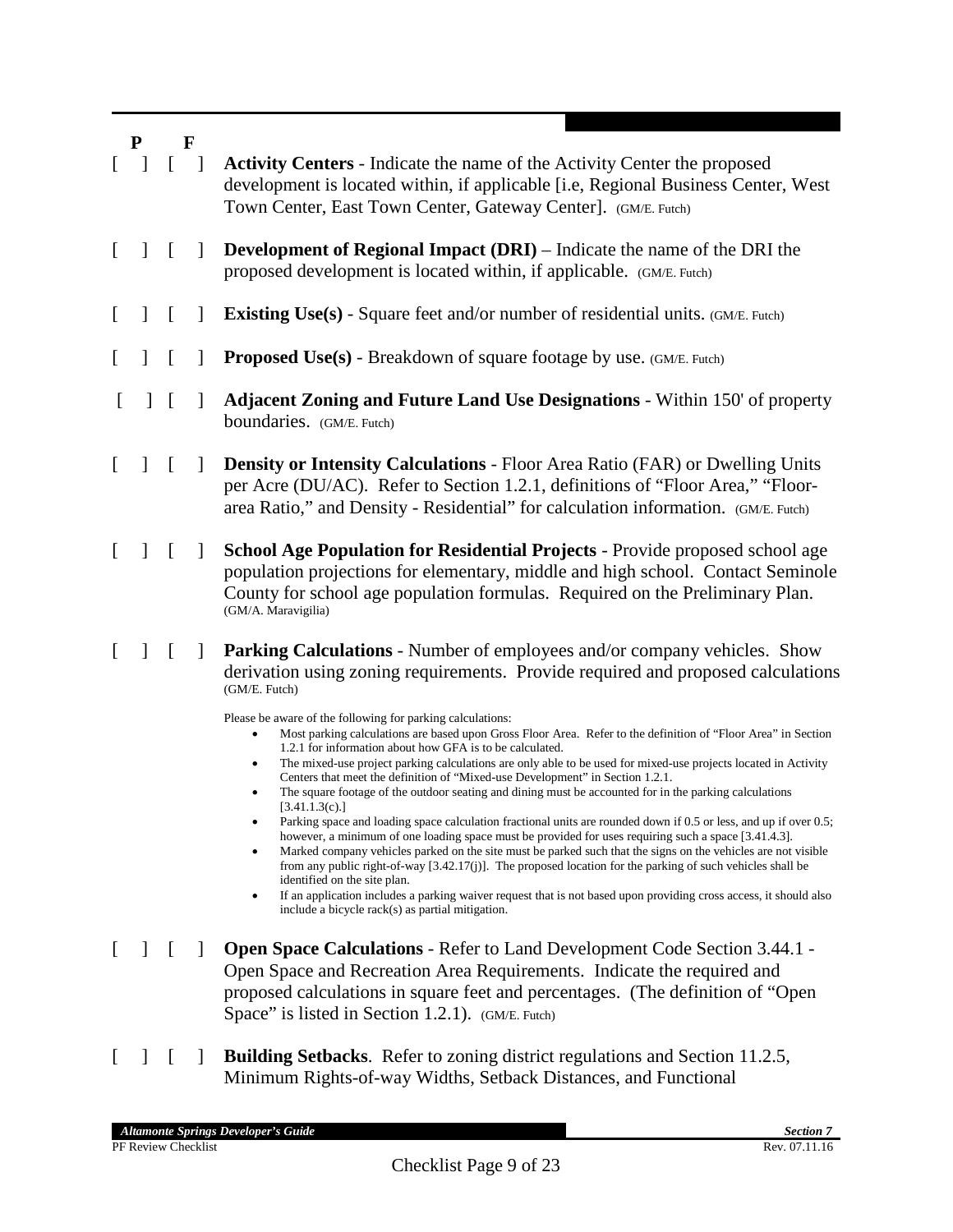- [ ] [ ] **Activity Centers** Indicate the name of the Activity Center the proposed development is located within, if applicable [i.e, Regional Business Center, West Town Center, East Town Center, Gateway Center]. (GM/E. Futch) [ ] [ ] **Development of Regional Impact (DRI)** – Indicate the name of the DRI the proposed development is located within, if applicable. (GM/E. Futch) [ ] **[ ] Existing Use(s)** - Square feet and/or number of residential units. (GM/E. Futch) [ ] [ ] **Proposed Use(s)** - Breakdown of square footage by use. (GM/E. Futch) [ ] [ ] **Adjacent Zoning and Future Land Use Designations** - Within 150' of property boundaries. (GM/E. Futch) [ ] [ ] **Density or Intensity Calculations** - Floor Area Ratio (FAR) or Dwelling Units per Acre (DU/AC). Refer to Section 1.2.1, definitions of "Floor Area," "Floor-
- area Ratio," and Density Residential" for calculation information. (GM/E. Futch) [ ] [ ] **School Age Population for Residential Projects** - Provide proposed school age population projections for elementary, middle and high school. Contact Seminole
- County for school age population formulas. Required on the Preliminary Plan. (GM/A. Maravigilia)
- [ ] [ ] **Parking Calculations** Number of employees and/or company vehicles. Show derivation using zoning requirements. Provide required and proposed calculations (GM/E. Futch)

Please be aware of the following for parking calculations:

- Most parking calculations are based upon Gross Floor Area. Refer to the definition of "Floor Area" in Section 1.2.1 for information about how GFA is to be calculated.
- The mixed-use project parking calculations are only able to be used for mixed-use projects located in Activity Centers that meet the definition of "Mixed-use Development" in Section 1.2.1.
- The square footage of the outdoor seating and dining must be accounted for in the parking calculations  $[3.41.1.3(c).]$
- Parking space and loading space calculation fractional units are rounded down if 0.5 or less, and up if over 0.5; however, a minimum of one loading space must be provided for uses requiring such a space [3.41.4.3].
- Marked company vehicles parked on the site must be parked such that the signs on the vehicles are not visible from any public right-of-way [3.42.17(j)]. The proposed location for the parking of such vehicles shall be identified on the site plan.
- If an application includes a parking waiver request that is not based upon providing cross access, it should also include a bicycle rack(s) as partial mitigation.
- [ ] [ ] **Open Space Calculations** Refer to Land Development Code Section 3.44.1 Open Space and Recreation Area Requirements. Indicate the required and proposed calculations in square feet and percentages. (The definition of "Open Space" is listed in Section 1.2.1). (GM/E. Futch)
- [ ] [ ] **Building Setbacks**. Refer to zoning district regulations and Section 11.2.5, Minimum Rights-of-way Widths, Setback Distances, and Functional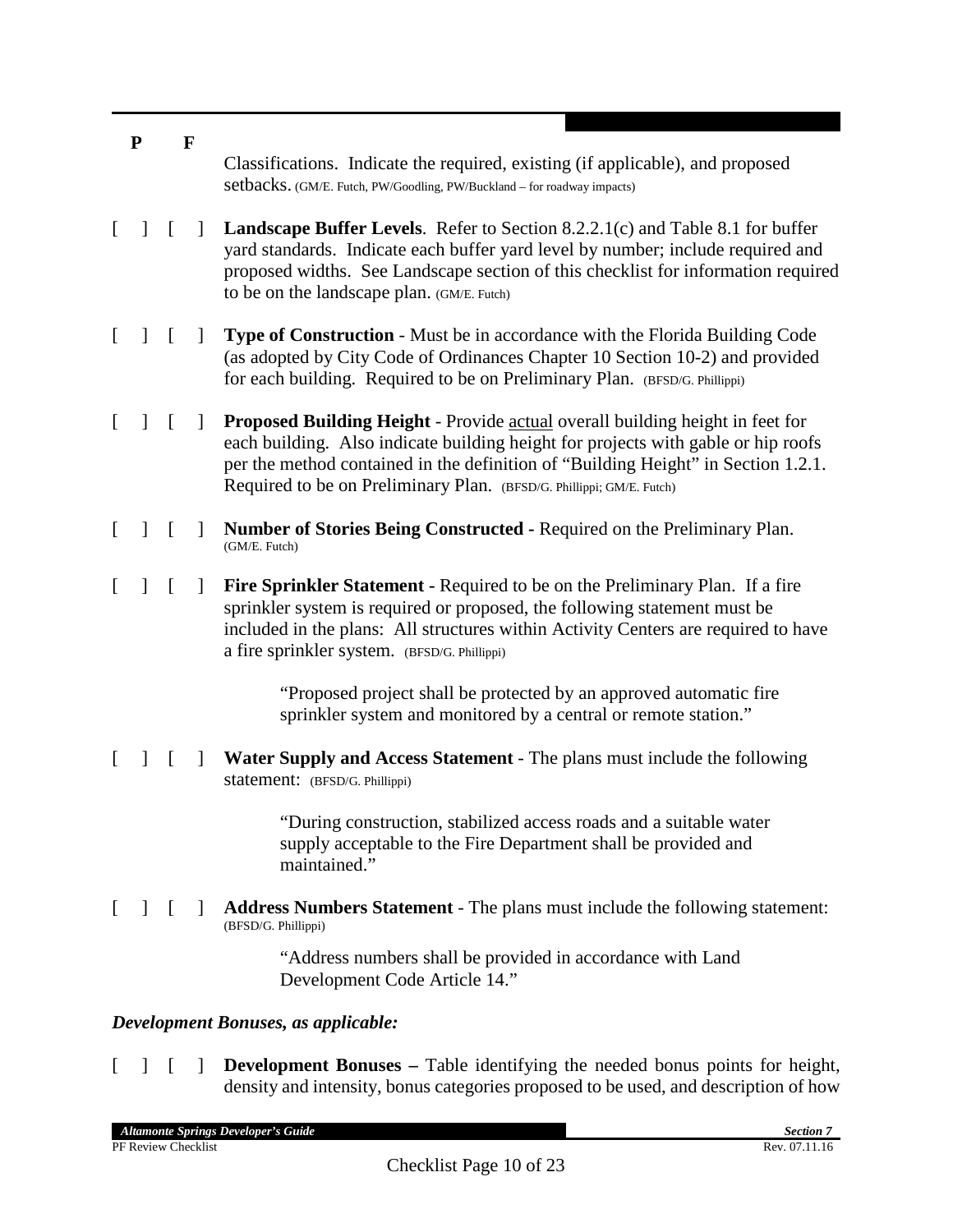- **P F** Classifications. Indicate the required, existing (if applicable), and proposed setbacks. (GM/E. Futch, PW/Goodling, PW/Buckland – for roadway impacts)
- [ ] [ ] **Landscape Buffer Levels**. Refer to Section 8.2.2.1(c) and Table 8.1 for buffer yard standards. Indicate each buffer yard level by number; include required and proposed widths. See Landscape section of this checklist for information required to be on the landscape plan. (GM/E. Futch)
- [ ] [ ] **Type of Construction** Must be in accordance with the Florida Building Code (as adopted by City Code of Ordinances Chapter 10 Section 10-2) and provided for each building. Required to be on Preliminary Plan. (BFSD/G. Phillippi)
- [ ] [ ] **Proposed Building Height**  Provide actual overall building height in feet for each building. Also indicate building height for projects with gable or hip roofs per the method contained in the definition of "Building Height" in Section 1.2.1. Required to be on Preliminary Plan. (BFSD/G. Phillippi; GM/E. Futch)
- [ ] [ ] **Number of Stories Being Constructed -** Required on the Preliminary Plan. (GM/E. Futch)
- [ ] [ ] **Fire Sprinkler Statement -** Required to be on the Preliminary Plan. If a fire sprinkler system is required or proposed, the following statement must be included in the plans: All structures within Activity Centers are required to have a fire sprinkler system. (BFSD/G. Phillippi)

"Proposed project shall be protected by an approved automatic fire sprinkler system and monitored by a central or remote station."

[ ] [ ] **Water Supply and Access Statement** - The plans must include the following statement: (BFSD/G. Phillippi)

> "During construction, stabilized access roads and a suitable water supply acceptable to the Fire Department shall be provided and maintained."

[ ] [ ] **Address Numbers Statement** - The plans must include the following statement: (BFSD/G. Phillippi)

> "Address numbers shall be provided in accordance with Land Development Code Article 14."

#### *Development Bonuses, as applicable:*

[ ] [ ] **Development Bonuses –** Table identifying the needed bonus points for height, density and intensity, bonus categories proposed to be used, and description of how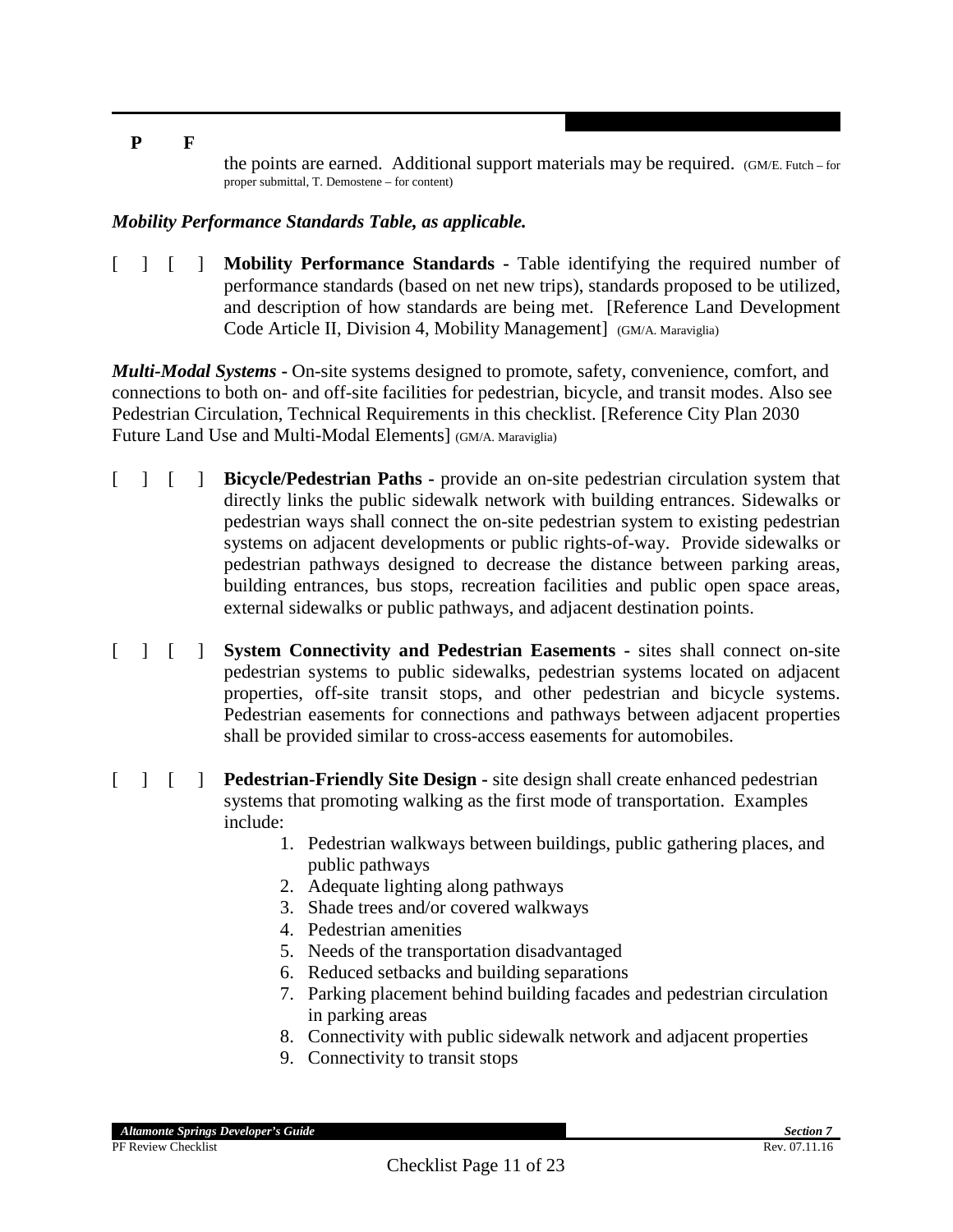the points are earned. Additional support materials may be required. (GM/E. Futch – for proper submittal, T. Demostene – for content)

#### *Mobility Performance Standards Table, as applicable.*

[ ] [ ] **Mobility Performance Standards -** Table identifying the required number of performance standards (based on net new trips), standards proposed to be utilized, and description of how standards are being met. [Reference Land Development Code Article II, Division 4, Mobility Management] (GM/A. Maraviglia)

*Multi-Modal Systems* **-** On-site systems designed to promote, safety, convenience, comfort, and connections to both on- and off-site facilities for pedestrian, bicycle, and transit modes. Also see Pedestrian Circulation, Technical Requirements in this checklist. [Reference City Plan 2030 Future Land Use and Multi-Modal Elements] (GM/A. Maraviglia)

- [ ] [ ] **Bicycle/Pedestrian Paths -** provide an on-site pedestrian circulation system that directly links the public sidewalk network with building entrances. Sidewalks or pedestrian ways shall connect the on-site pedestrian system to existing pedestrian systems on adjacent developments or public rights-of-way. Provide sidewalks or pedestrian pathways designed to decrease the distance between parking areas, building entrances, bus stops, recreation facilities and public open space areas, external sidewalks or public pathways, and adjacent destination points.
- [ ] [ ] **System Connectivity and Pedestrian Easements -** sites shall connect on-site pedestrian systems to public sidewalks, pedestrian systems located on adjacent properties, off-site transit stops, and other pedestrian and bicycle systems. Pedestrian easements for connections and pathways between adjacent properties shall be provided similar to cross-access easements for automobiles.
- [ ] [ ] **Pedestrian-Friendly Site Design -** site design shall create enhanced pedestrian systems that promoting walking as the first mode of transportation. Examples include:
	- 1. Pedestrian walkways between buildings, public gathering places, and public pathways
	- 2. Adequate lighting along pathways
	- 3. Shade trees and/or covered walkways
	- 4. Pedestrian amenities
	- 5. Needs of the transportation disadvantaged
	- 6. Reduced setbacks and building separations
	- 7. Parking placement behind building facades and pedestrian circulation in parking areas
	- 8. Connectivity with public sidewalk network and adjacent properties
	- 9. Connectivity to transit stops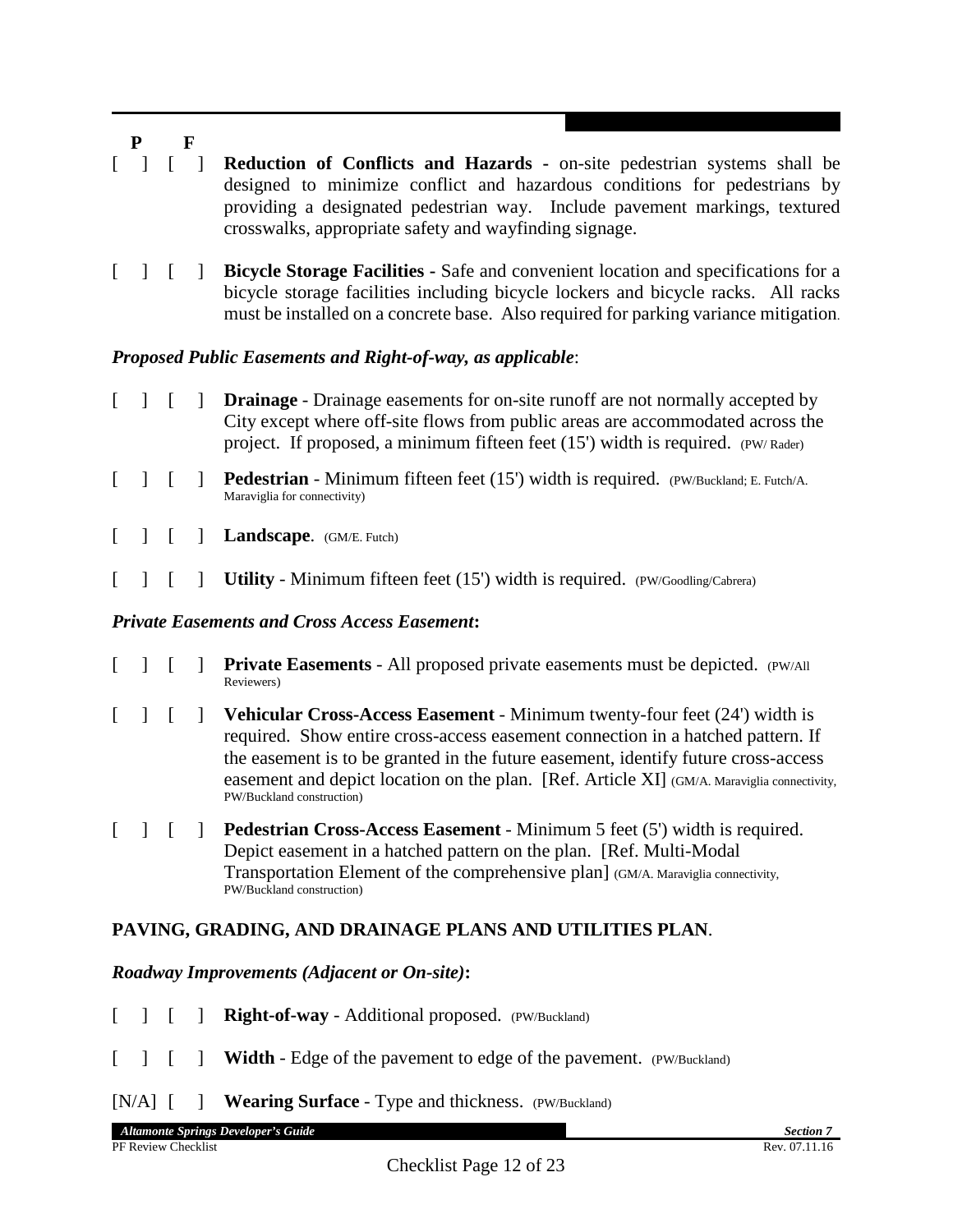- [ ] [ ] **Reduction of Conflicts and Hazards -** on-site pedestrian systems shall be designed to minimize conflict and hazardous conditions for pedestrians by providing a designated pedestrian way. Include pavement markings, textured crosswalks, appropriate safety and wayfinding signage.
- [ ] [ ] **Bicycle Storage Facilities -** Safe and convenient location and specifications for a bicycle storage facilities including bicycle lockers and bicycle racks. All racks must be installed on a concrete base. Also required for parking variance mitigation.

#### *Proposed Public Easements and Right-of-way, as applicable*:

- [ ] [ ] **Drainage** Drainage easements for on-site runoff are not normally accepted by City except where off-site flows from public areas are accommodated across the project. If proposed, a minimum fifteen feet (15') width is required. (PW/ Rader)
- [ ] [ ] **Pedestrian** Minimum fifteen feet (15') width is required. (PW/Buckland; E. Futch/A. Maraviglia for connectivity)
- [ ] **[ ] Landscape.** (GM/E. Futch)
- [ ] [ ] **Utility** Minimum fifteen feet (15') width is required. (PW/Goodling/Cabrera)

#### *Private Easements and Cross Access Easement***:**

- [ ] [ ] **Private Easements** All proposed private easements must be depicted. (PW/All Reviewers)
- [ ] [ ] **Vehicular Cross-Access Easement**  Minimum twenty-four feet (24') width is required. Show entire cross-access easement connection in a hatched pattern. If the easement is to be granted in the future easement, identify future cross-access easement and depict location on the plan. [Ref. Article XI] (GM/A. Maraviglia connectivity, PW/Buckland construction)
- [ ] [ ] **Pedestrian Cross-Access Easement**  Minimum 5 feet (5') width is required. Depict easement in a hatched pattern on the plan. [Ref. Multi-Modal Transportation Element of the comprehensive plan] (GM/A. Maraviglia connectivity, PW/Buckland construction)

## **PAVING, GRADING, AND DRAINAGE PLANS AND UTILITIES PLAN**.

#### *Roadway Improvements (Adjacent or On-site)***:**

- [ ] **[ ] Right-of-way** Additional proposed. (PW/Buckland)
- [ ]  $\blacksquare$  **Width** Edge of the pavement to edge of the pavement. (PW/Buckland)
- [N/A] [ ] **Wearing Surface** Type and thickness. (PW/Buckland)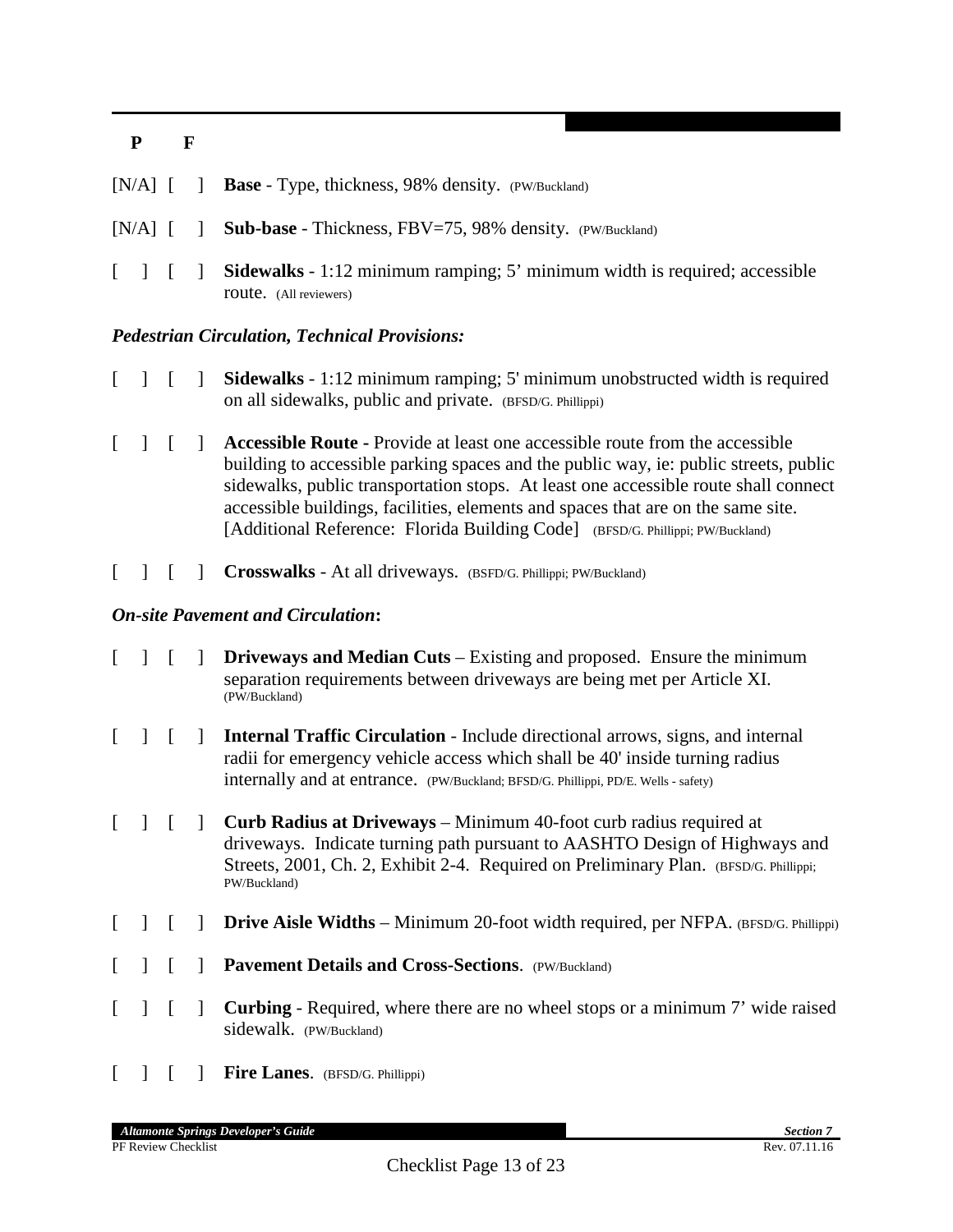|  |  | $[N/A]$ [ ] <b>Base</b> - Type, thickness, 98% density. (PW/Buckland)                                              |
|--|--|--------------------------------------------------------------------------------------------------------------------|
|  |  | $[N/A]$ $[$ <b>Sub-base</b> - Thickness, FBV=75, 98% density. (PW/Buckland)                                        |
|  |  | <b>Sidewalks</b> - 1:12 minimum ramping; 5' minimum width is required; accessible<br><b>route.</b> (All reviewers) |

#### *Pedestrian Circulation, Technical Provisions:*

- [ ] [ ] **Sidewalks** 1:12 minimum ramping; 5' minimum unobstructed width is required on all sidewalks, public and private. (BFSD/G. Phillippi)
- [ ] [ ] **Accessible Route -** Provide at least one accessible route from the accessible building to accessible parking spaces and the public way, ie: public streets, public sidewalks, public transportation stops. At least one accessible route shall connect accessible buildings, facilities, elements and spaces that are on the same site. [Additional Reference: Florida Building Code] (BFSD/G. Phillippi; PW/Buckland)
- [ ] **[ ] Crosswalks** At all driveways. (BSFD/G. Phillippi; PW/Buckland)

#### *On-site Pavement and Circulation***:**

- [ ] [ ] **Driveways and Median Cuts** Existing and proposed. Ensure the minimum separation requirements between driveways are being met per Article XI. (PW/Buckland)
- [ ] [ ] **Internal Traffic Circulation**  Include directional arrows, signs, and internal radii for emergency vehicle access which shall be 40' inside turning radius internally and at entrance. (PW/Buckland; BFSD/G. Phillippi, PD/E. Wells - safety)
- [ ] [ ] **Curb Radius at Driveways** Minimum 40-foot curb radius required at driveways. Indicate turning path pursuant to AASHTO Design of Highways and Streets, 2001, Ch. 2, Exhibit 2-4. Required on Preliminary Plan. (BFSD/G. Phillippi; PW/Buckland)
- [ ]  $[$  **] Drive Aisle Widths** Minimum 20-foot width required, per NFPA. (BFSD/G. Phillippi)
- [ ] [ ] **Pavement Details and Cross-Sections**. (PW/Buckland)
- [ ] [ ] **Curbing** Required, where there are no wheel stops or a minimum 7' wide raised sidewalk. (PW/Buckland)
- [ ] [ ] **Fire Lanes**. (BFSD/G. Phillippi)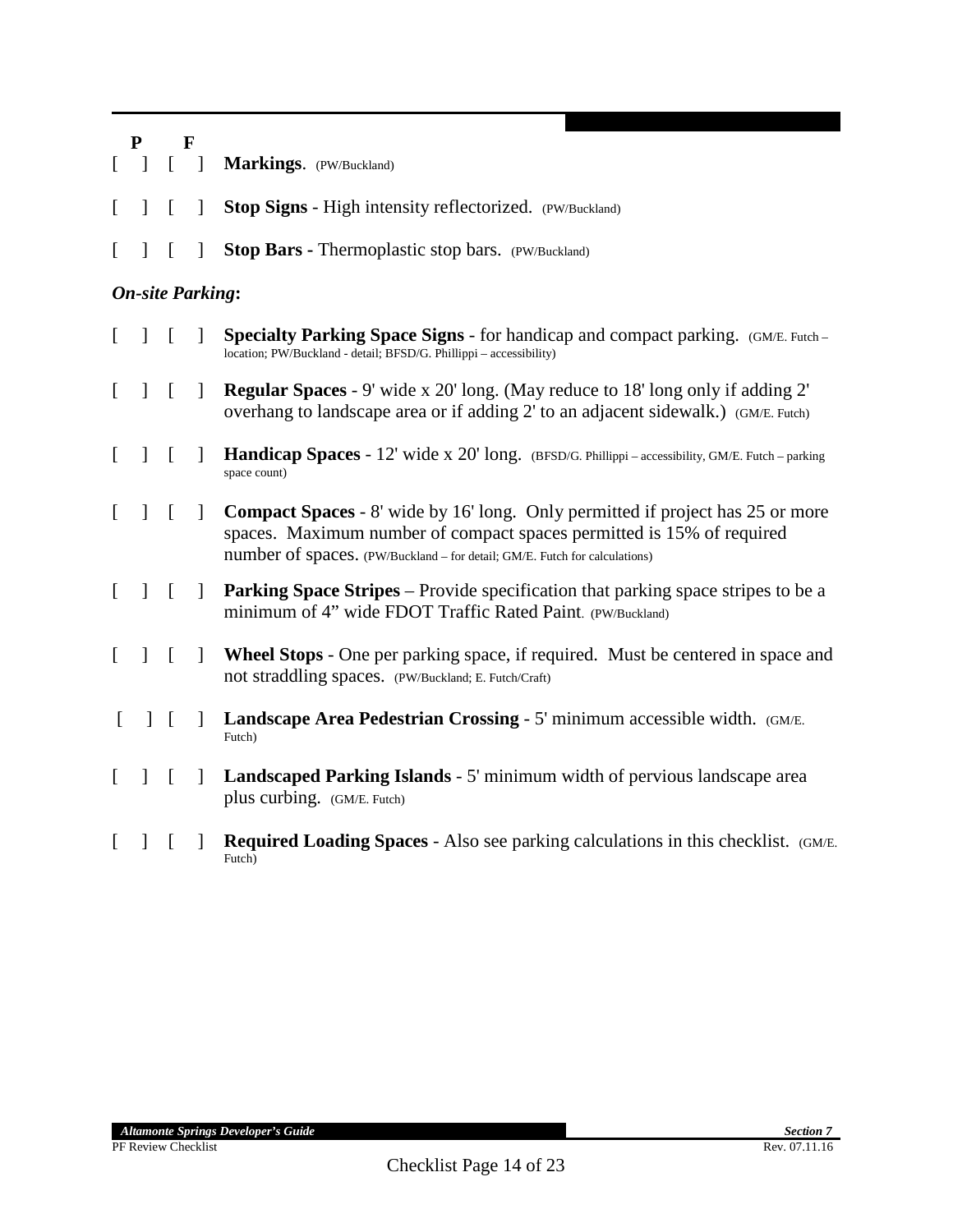|              | ${\bf P}$<br>F          |                |                          |                                                                                                                                                                                                                                              |
|--------------|-------------------------|----------------|--------------------------|----------------------------------------------------------------------------------------------------------------------------------------------------------------------------------------------------------------------------------------------|
|              |                         | L              | $\overline{\phantom{a}}$ | Markings. (PW/Buckland)                                                                                                                                                                                                                      |
| L            | $\mathbf{I}$            | $\lceil$       | $\mathbf{1}$             | <b>Stop Signs - High intensity reflectorized.</b> (PW/Buckland)                                                                                                                                                                              |
| $\mathbf{I}$ |                         | ſ              |                          | Stop Bars - Thermoplastic stop bars. (PW/Buckland)                                                                                                                                                                                           |
|              | <b>On-site Parking:</b> |                |                          |                                                                                                                                                                                                                                              |
|              | $\mathbf{I}$            | $\lceil$       |                          | <b>Specialty Parking Space Signs - for handicap and compact parking.</b> (GM/E. Futch –<br>location; PW/Buckland - detail; BFSD/G. Phillippi - accessibility)                                                                                |
| $\Gamma$     | $\mathbf{I}$            | $\sqrt{ }$     | $\mathbf{1}$             | <b>Regular Spaces</b> - 9' wide x 20' long. (May reduce to 18' long only if adding 2'<br>overhang to landscape area or if adding 2' to an adjacent sidewalk.) (GM/E. Futch)                                                                  |
| $\mathbf{I}$ | $\mathbf{1}$            | $\lceil$       | $\mathbf{I}$             | Handicap Spaces - 12' wide x 20' long. (BFSD/G. Phillippi - accessibility, GM/E. Futch - parking<br>space count)                                                                                                                             |
| $\Gamma$     | $\mathbf{1}$            | $\overline{a}$ | $\mathbf{1}$             | <b>Compact Spaces</b> - 8' wide by 16' long. Only permitted if project has 25 or more<br>spaces. Maximum number of compact spaces permitted is 15% of required<br>number of spaces. (PW/Buckland - for detail; GM/E. Futch for calculations) |
| $\Gamma$     | $\mathbf{1}$            | $\sqrt{ }$     | $\mathbf{I}$             | <b>Parking Space Stripes</b> – Provide specification that parking space stripes to be a<br>minimum of 4" wide FDOT Traffic Rated Paint. (PW/Buckland)                                                                                        |
| L            | $\perp$                 | $\Gamma$       | $\mathbf{1}$             | Wheel Stops - One per parking space, if required. Must be centered in space and<br>not straddling spaces. (PW/Buckland; E. Futch/Craft)                                                                                                      |
| L            | $\mathbf{I}$            | $\lceil$       | $\mathbf{1}$             | Landscape Area Pedestrian Crossing - 5' minimum accessible width. (GM/E.<br>Futch)                                                                                                                                                           |
|              | $\mathbf{I}$            | $\lceil$       | $\mathbf{I}$             | <b>Landscaped Parking Islands - 5' minimum width of pervious landscape area</b><br>plus curbing. (GM/E. Futch)                                                                                                                               |
|              |                         |                |                          | <b>Required Loading Spaces - Also see parking calculations in this checklist.</b> (GM/E.<br>Futch)                                                                                                                                           |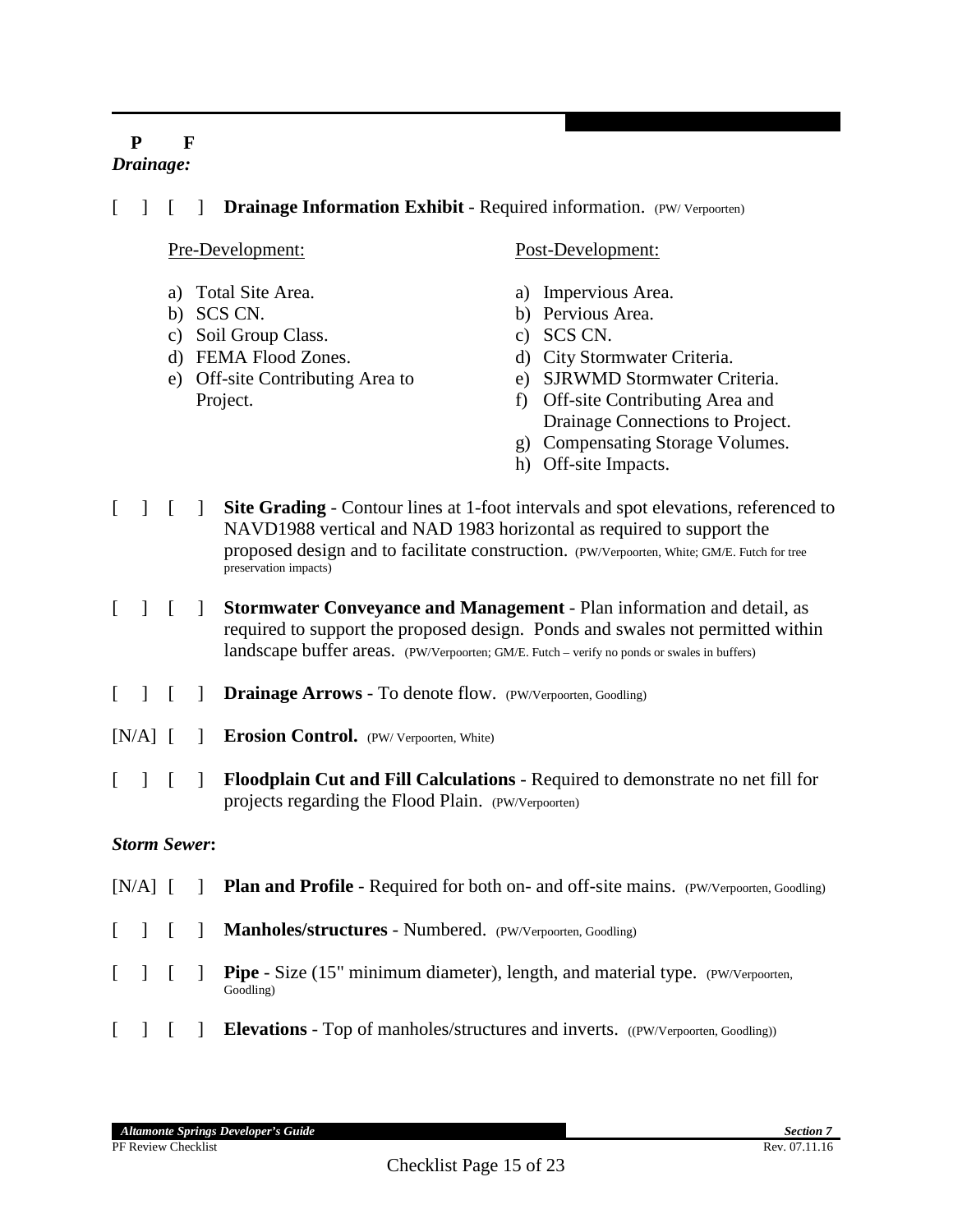## **P F** *Drainage:*

#### [ ] [ ] **Drainage Information Exhibit** - Required information. (PW/ Verpoorten)

#### Pre-Development:

- a) Total Site Area.
- b) SCS CN.
- c) Soil Group Class.
- d) FEMA Flood Zones.
- e) Off-site Contributing Area to Project.

#### Post-Development:

- a) Impervious Area.
- b) Pervious Area.
- c) SCS CN.
- d) City Stormwater Criteria.
- e) SJRWMD Stormwater Criteria.
- f) Off-site Contributing Area and Drainage Connections to Project.
- g) Compensating Storage Volumes.
- h) Off-site Impacts.
- [ ] [ ] **Site Grading** Contour lines at 1-foot intervals and spot elevations, referenced to NAVD1988 vertical and NAD 1983 horizontal as required to support the proposed design and to facilitate construction. (PW/Verpoorten, White; GM/E. Futch for tree preservation impacts)
- [ ] [ ] **Stormwater Conveyance and Management**  Plan information and detail, as required to support the proposed design. Ponds and swales not permitted within landscape buffer areas. (PW/Verpoorten; GM/E. Futch – verify no ponds or swales in buffers)
- [ ] **[ ] Drainage Arrows** To denote flow. (PW/Verpoorten, Goodling)
- [N/A] [ ] **Erosion Control.** (PW/ Verpoorten, White)
- [ ] [ ] **Floodplain Cut and Fill Calculations** Required to demonstrate no net fill for projects regarding the Flood Plain. (PW/Verpoorten)

#### *Storm Sewer***:**

[N/A] [ ] **Plan and Profile** - Required for both on- and off-site mains. (PW/Verpoorten, Goodling) [ ] **[ ] Manholes/structures** - Numbered. (PW/Verpoorten, Goodling) [ ] **Pipe** - Size (15" minimum diameter), length, and material type. (PW/Verpoorten, Goodling) [ ] [ ] **Elevations** - Top of manholes/structures and inverts. ((PW/Verpoorten, Goodling))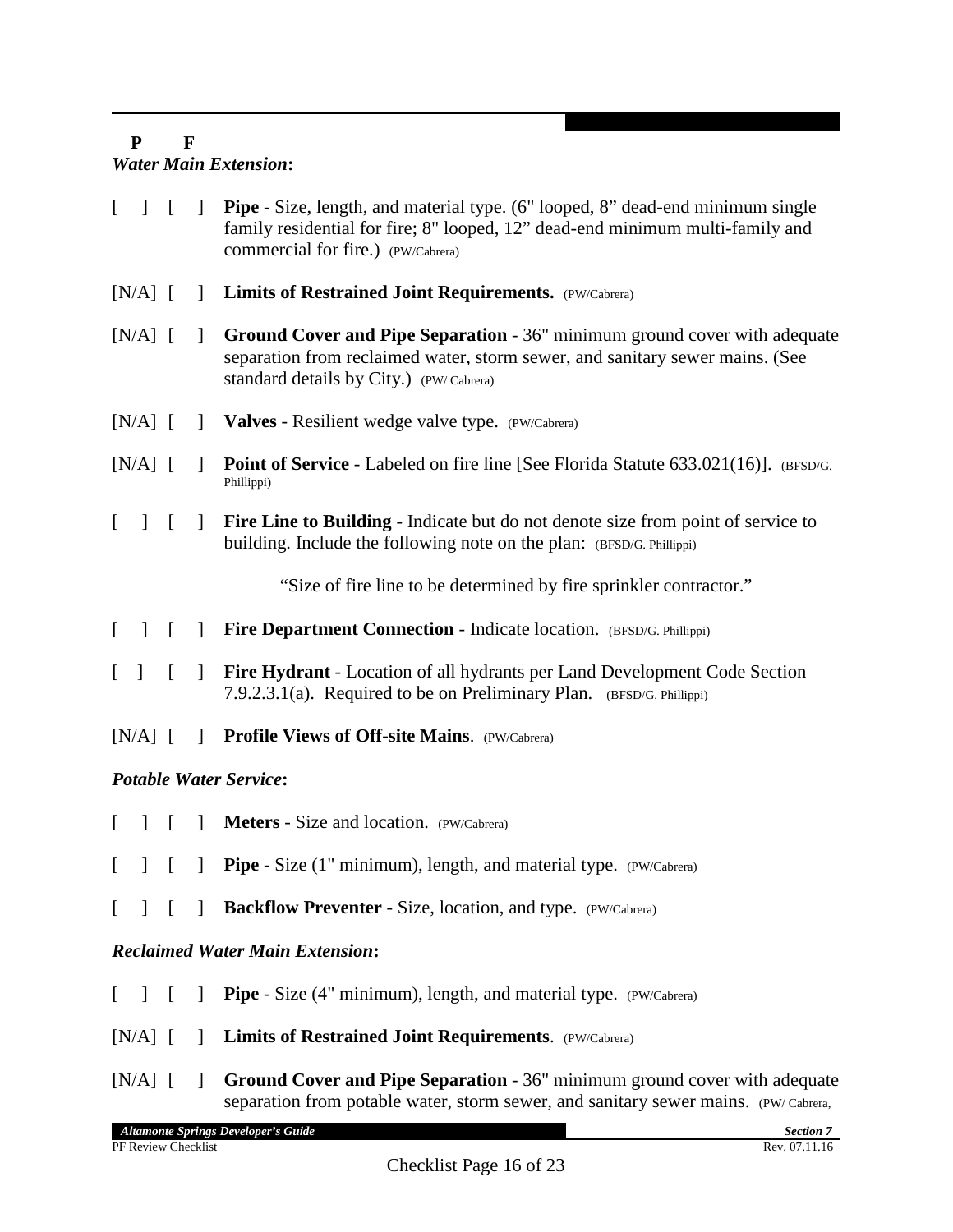## **P F** *Water Main Extension***:**

- [ ] [ ] **Pipe** Size, length, and material type. (6" looped, 8" dead-end minimum single family residential for fire; 8" looped, 12" dead-end minimum multi-family and commercial for fire.) (PW/Cabrera)
- [N/A] [ ] **Limits of Restrained Joint Requirements.** (PW/Cabrera)
- [N/A] [ ] **Ground Cover and Pipe Separation** 36" minimum ground cover with adequate separation from reclaimed water, storm sewer, and sanitary sewer mains. (See standard details by City.) (PW/ Cabrera)
- [N/A] [ ] **Valves** Resilient wedge valve type. (PW/Cabrera)
- [N/A] [ ] **Point of Service** Labeled on fire line [See Florida Statute 633.021(16)]. (BFSD/G. Phillippi)
- [ ] [ ] **Fire Line to Building** Indicate but do not denote size from point of service to building. Include the following note on the plan: (BFSD/G. Phillippi)

"Size of fire line to be determined by fire sprinkler contractor."

- [ ] [ ] **Fire Department Connection** Indicate location. (BFSD/G. Phillippi)
- [ ] [ ] **Fire Hydrant** Location of all hydrants per Land Development Code Section 7.9.2.3.1(a). Required to be on Preliminary Plan. (BFSD/G. Phillippi)
- [N/A] [ ] **Profile Views of Off-site Mains.** (PW/Cabrera)

## *Potable Water Service***:**

- [ ] [ ] **Meters** Size and location. (PW/Cabrera)
- [ ] [ ] **Pipe** Size (1" minimum), length, and material type. (PW/Cabrera)
- [ ] **[ ] Backflow Preventer** Size, location, and type. (PW/Cabrera)

## *Reclaimed Water Main Extension***:**

- [ ] [ ] **Pipe** Size (4" minimum), length, and material type. (PW/Cabrera)
- [N/A] [ ] **Limits of Restrained Joint Requirements**. (PW/Cabrera)
- [N/A] [ ] **Ground Cover and Pipe Separation** 36" minimum ground cover with adequate separation from potable water, storm sewer, and sanitary sewer mains. (PW/ Cabrera,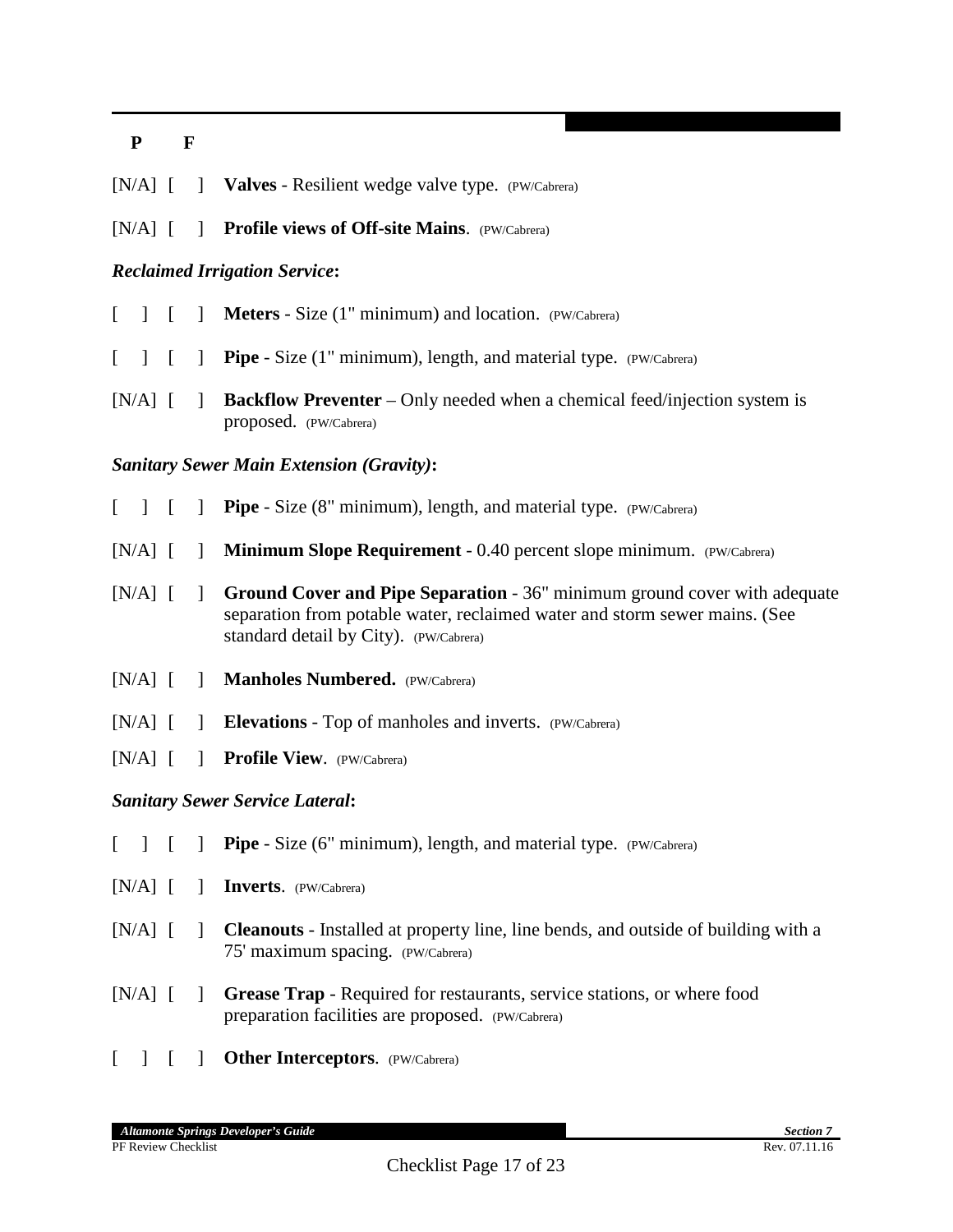|  |  | [N/A] [ ] Valves - Resilient wedge valve type. (PW/Cabrera) |
|--|--|-------------------------------------------------------------|
|--|--|-------------------------------------------------------------|

[N/A] [ ] **Profile views of Off-site Mains**. (PW/Cabrera)

#### *Reclaimed Irrigation Service***:**

- [ ] **[ ] Meters** Size (1" minimum) and location. (PW/Cabrera)
- [ ] **Pipe** Size (1" minimum), length, and material type. *(PW/Cabrera)*
- [N/A] [ ] **Backflow Preventer** Only needed when a chemical feed/injection system is proposed. (PW/Cabrera)

#### *Sanitary Sewer Main Extension (Gravity)***:**

- [ ] **[ ] Pipe** Size (8" minimum), length, and material type. (PW/Cabrera)
- [N/A] [ ] **Minimum Slope Requirement** 0.40 percent slope minimum. (PW/Cabrera)
- [N/A] [ ] **Ground Cover and Pipe Separation** 36" minimum ground cover with adequate separation from potable water, reclaimed water and storm sewer mains. (See standard detail by City). (PW/Cabrera)
- [N/A] [ ] **Manholes Numbered.** (PW/Cabrera)
- [N/A]  $\begin{bmatrix} \end{bmatrix}$  **Elevations** Top of manholes and inverts. (PW/Cabrera)
- [N/A] [ ] **Profile View**. (PW/Cabrera)

#### *Sanitary Sewer Service Lateral***:**

- [ ] **[ ] Pipe** Size (6" minimum), length, and material type. (PW/Cabrera)
- [N/A] [ ] **Inverts**. (PW/Cabrera)
- [N/A] [ ] **Cleanouts** Installed at property line, line bends, and outside of building with a 75' maximum spacing. (PW/Cabrera)
- [N/A] [ ] **Grease Trap** Required for restaurants, service stations, or where food preparation facilities are proposed. (PW/Cabrera)
- [ ] [ ] **Other Interceptors**. (PW/Cabrera)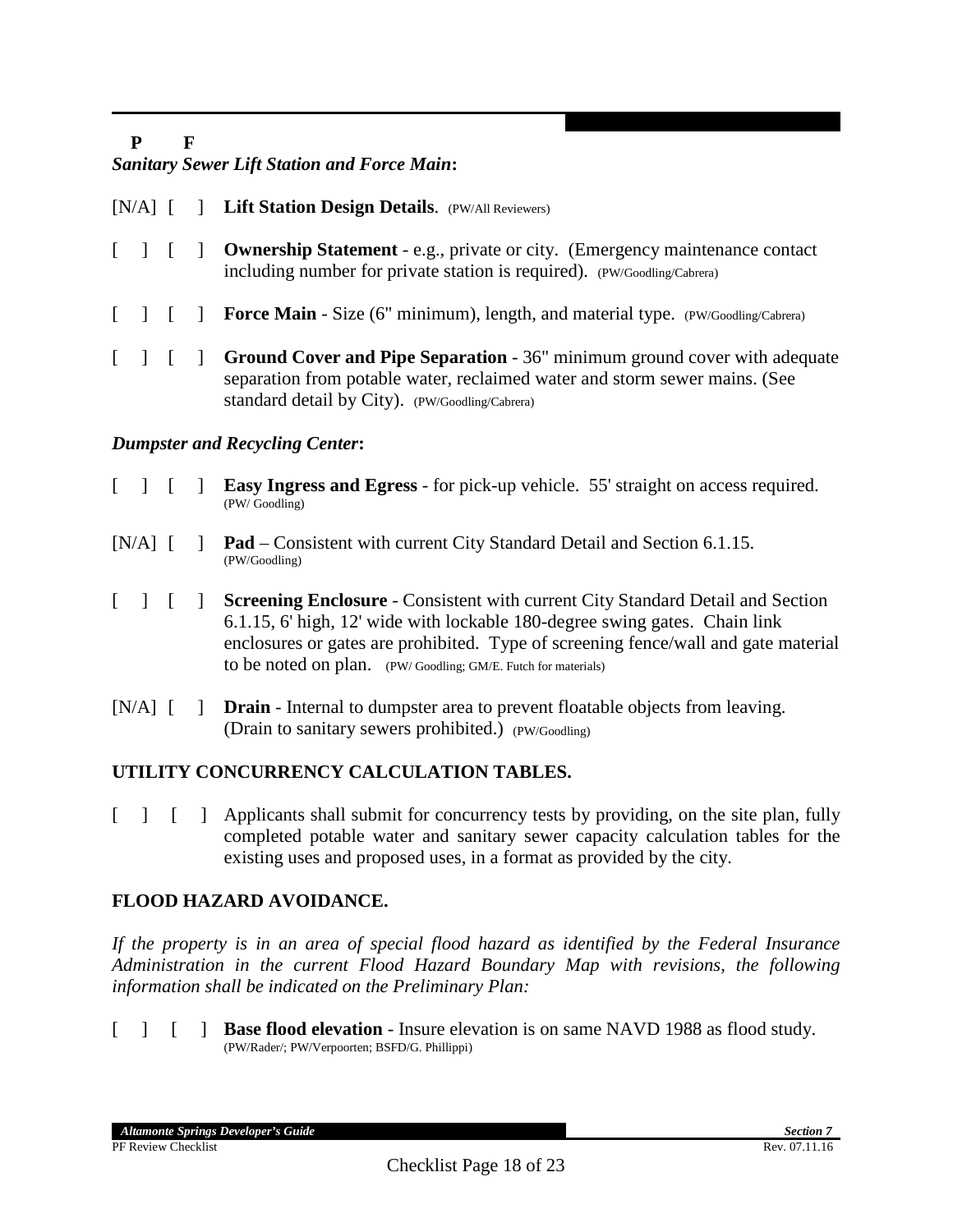#### *Sanitary Sewer Lift Station and Force Main***:**

- [N/A] [ ] **Lift Station Design Details**. (PW/All Reviewers)
- [ ] [ ] **Ownership Statement** e.g., private or city. (Emergency maintenance contact including number for private station is required). (PW/Goodling/Cabrera)
- [ ] **[ ] Force Main** Size (6" minimum), length, and material type. (PW/Goodling/Cabrera)
- [ ] [ ] **Ground Cover and Pipe Separation** 36" minimum ground cover with adequate separation from potable water, reclaimed water and storm sewer mains. (See standard detail by City). (PW/Goodling/Cabrera)

#### *Dumpster and Recycling Center***:**

- [ ] [ ] **Easy Ingress and Egress** for pick-up vehicle. 55' straight on access required. (PW/ Goodling)
- [N/A]  $\begin{bmatrix} \n\end{bmatrix}$  **Pad** Consistent with current City Standard Detail and Section 6.1.15.
- [ ] [ ] **Screening Enclosure** Consistent with current City Standard Detail and Section 6.1.15, 6' high, 12' wide with lockable 180-degree swing gates. Chain link enclosures or gates are prohibited. Type of screening fence/wall and gate material to be noted on plan. (PW/ Goodling; GM/E. Futch for materials)
- [N/A] [ ] **Drain** Internal to dumpster area to prevent floatable objects from leaving. (Drain to sanitary sewers prohibited.) (PW/Goodling)

#### **UTILITY CONCURRENCY CALCULATION TABLES.**

[ ] [ ] Applicants shall submit for concurrency tests by providing, on the site plan, fully completed potable water and sanitary sewer capacity calculation tables for the existing uses and proposed uses, in a format as provided by the city.

#### **FLOOD HAZARD AVOIDANCE.**

*If the property is in an area of special flood hazard as identified by the Federal Insurance Administration in the current Flood Hazard Boundary Map with revisions, the following information shall be indicated on the Preliminary Plan:*

[ ] [ ] **Base flood elevation** - Insure elevation is on same NAVD 1988 as flood study. (PW/Rader/; PW/Verpoorten; BSFD/G. Phillippi)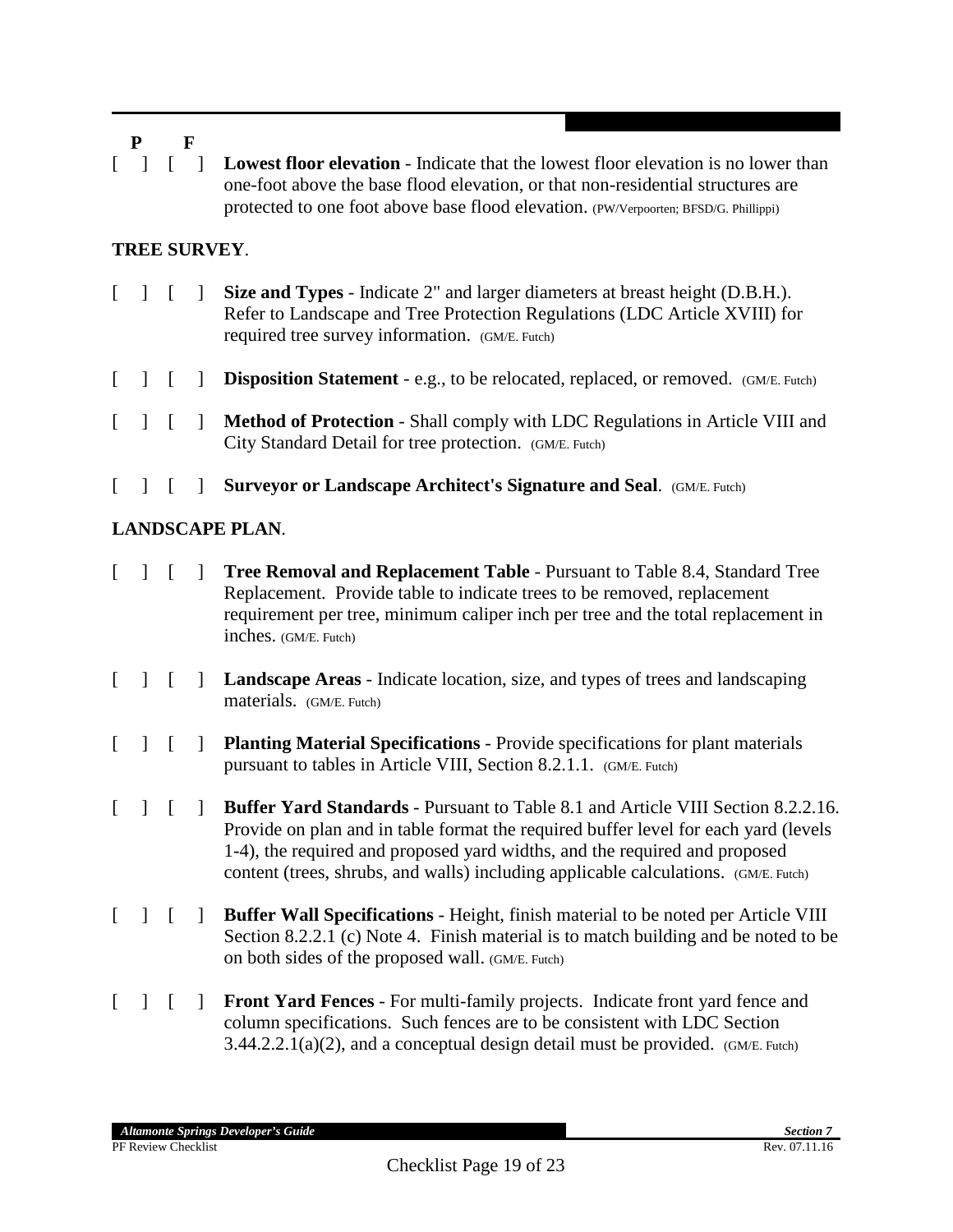[ ] [ ] **Lowest floor elevation** - Indicate that the lowest floor elevation is no lower than one-foot above the base flood elevation, or that non-residential structures are protected to one foot above base flood elevation. (PW/Verpoorten; BFSD/G. Phillippi)

## **TREE SURVEY**.

- [ ] [ ] **Size and Types** Indicate 2" and larger diameters at breast height (D.B.H.). Refer to Landscape and Tree Protection Regulations (LDC Article XVIII) for required tree survey information. (GM/E. Futch)
- [ ] **Disposition Statement** e.g., to be relocated, replaced, or removed. (GM/E. Futch)
- [ ] [ ] **Method of Protection** Shall comply with LDC Regulations in Article VIII and City Standard Detail for tree protection. (GM/E. Futch)
- [ ] [ ] **Surveyor or Landscape Architect's Signature and Seal**. (GM/E. Futch)

## **LANDSCAPE PLAN**.

- [ ] [ ] **Tree Removal and Replacement Table** Pursuant to Table 8.4, Standard Tree Replacement. Provide table to indicate trees to be removed, replacement requirement per tree, minimum caliper inch per tree and the total replacement in inches. (GM/E. Futch)
- [ ] [ ] **Landscape Areas** Indicate location, size, and types of trees and landscaping materials. (GM/E. Futch)
- [ ] [ ] **Planting Material Specifications** Provide specifications for plant materials pursuant to tables in Article VIII, Section 8.2.1.1. (GM/E. Futch)
- [ ] [ ] **Buffer Yard Standards** Pursuant to Table 8.1 and Article VIII Section 8.2.2.16. Provide on plan and in table format the required buffer level for each yard (levels 1-4), the required and proposed yard widths, and the required and proposed content (trees, shrubs, and walls) including applicable calculations. (GM/E. Futch)
- [ ] [ ] **Buffer Wall Specifications**  Height, finish material to be noted per Article VIII Section 8.2.2.1 (c) Note 4. Finish material is to match building and be noted to be on both sides of the proposed wall. (GM/E. Futch)
- [ ] [ ] **Front Yard Fences** For multi-family projects. Indicate front yard fence and column specifications. Such fences are to be consistent with LDC Section  $3.44.2.2.1(a)(2)$ , and a conceptual design detail must be provided. (GM/E. Futch)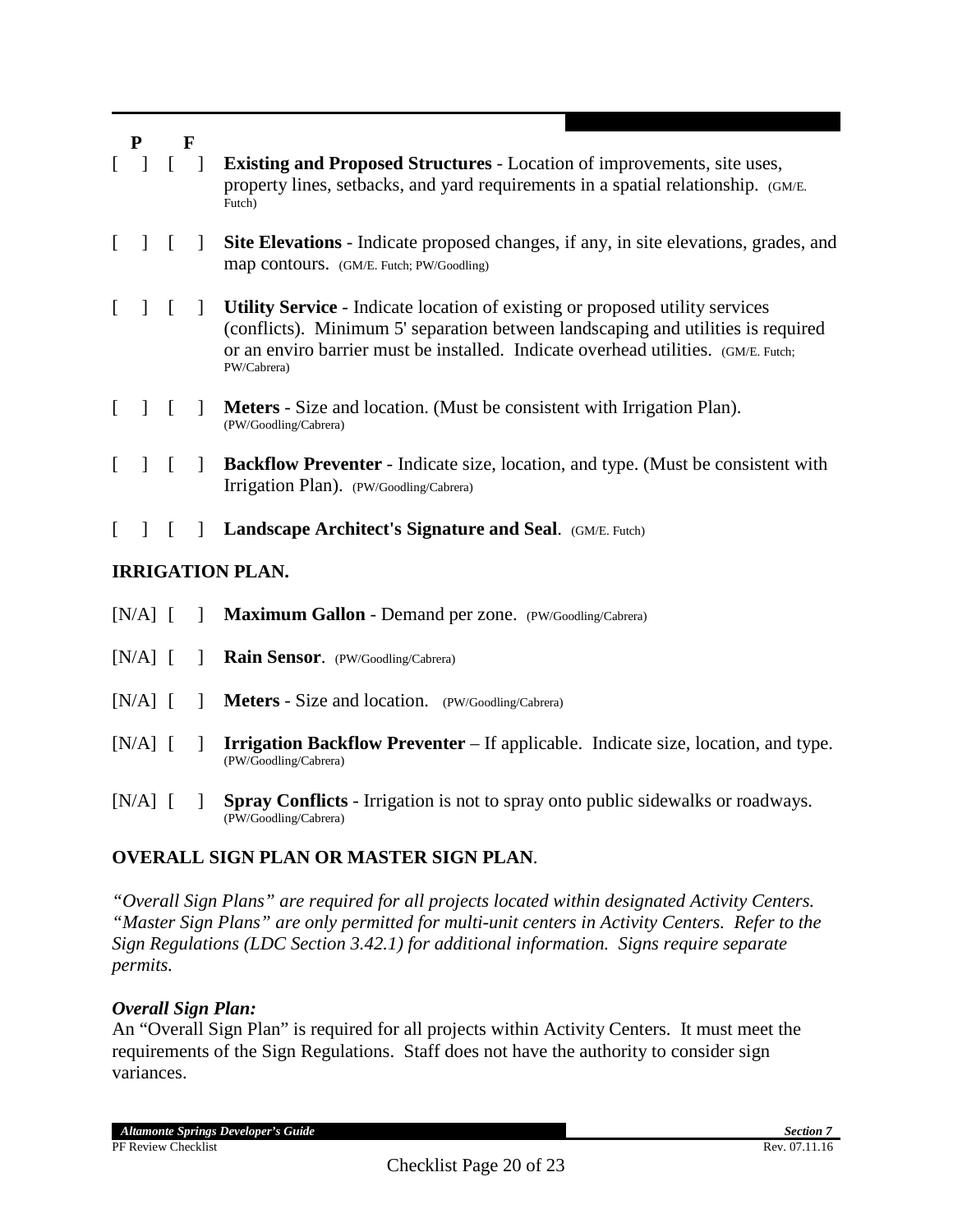|          | ${\bf P}$    |          | F            |                                                                                                                                                                                                                                                                              |
|----------|--------------|----------|--------------|------------------------------------------------------------------------------------------------------------------------------------------------------------------------------------------------------------------------------------------------------------------------------|
| $\Gamma$ |              |          |              | <b>Existing and Proposed Structures - Location of improvements, site uses,</b><br>property lines, setbacks, and yard requirements in a spatial relationship. (GM/E.<br>Futch)                                                                                                |
| $\Gamma$ | $\mathbf{1}$ | $\lceil$ | $\mathbf{I}$ | Site Elevations - Indicate proposed changes, if any, in site elevations, grades, and<br>map contours. (GM/E. Futch; PW/Goodling)                                                                                                                                             |
|          | $\mathbf{I}$ | $\lceil$ | $\mathbf{1}$ | <b>Utility Service - Indicate location of existing or proposed utility services</b><br>(conflicts). Minimum 5' separation between landscaping and utilities is required<br>or an enviro barrier must be installed. Indicate overhead utilities. (GM/E. Futch;<br>PW/Cabrera) |
| L        |              | $\Gamma$ | -1           | <b>Meters</b> - Size and location. (Must be consistent with Irrigation Plan).<br>(PW/Goodling/Cabrera)                                                                                                                                                                       |
| L        |              |          | $\mathbf{I}$ | <b>Backflow Preventer</b> - Indicate size, location, and type. (Must be consistent with<br>Irrigation Plan). (PW/Goodling/Cabrera)                                                                                                                                           |
|          |              |          | $\mathbf{I}$ | <b>Landscape Architect's Signature and Seal.</b> (GM/E. Futch)                                                                                                                                                                                                               |
|          |              |          |              | <b>IRRIGATION PLAN.</b>                                                                                                                                                                                                                                                      |
|          | $[N/A]$ [    |          |              | Maximum Gallon - Demand per zone. (PW/Goodling/Cabrera)                                                                                                                                                                                                                      |
|          | $[N/A]$ [    |          |              | Rain Sensor. (PW/Goodling/Cabrera)                                                                                                                                                                                                                                           |
|          | $[N/A]$ [    |          |              | <b>Meters</b> - Size and location. (PW/Goodling/Cabrera)                                                                                                                                                                                                                     |
|          | [N/A]        |          |              | <b>Irrigation Backflow Preventer</b> – If applicable. Indicate size, location, and type.                                                                                                                                                                                     |

(PW/Goodling/Cabrera) [N/A] [ ] **Spray Conflicts** - Irrigation is not to spray onto public sidewalks or roadways. (PW/Goodling/Cabrera)

## **OVERALL SIGN PLAN OR MASTER SIGN PLAN**.

*"Overall Sign Plans" are required for all projects located within designated Activity Centers. "Master Sign Plans" are only permitted for multi-unit centers in Activity Centers. Refer to the Sign Regulations (LDC Section 3.42.1) for additional information. Signs require separate permits.*

#### *Overall Sign Plan:*

An "Overall Sign Plan" is required for all projects within Activity Centers. It must meet the requirements of the Sign Regulations. Staff does not have the authority to consider sign variances.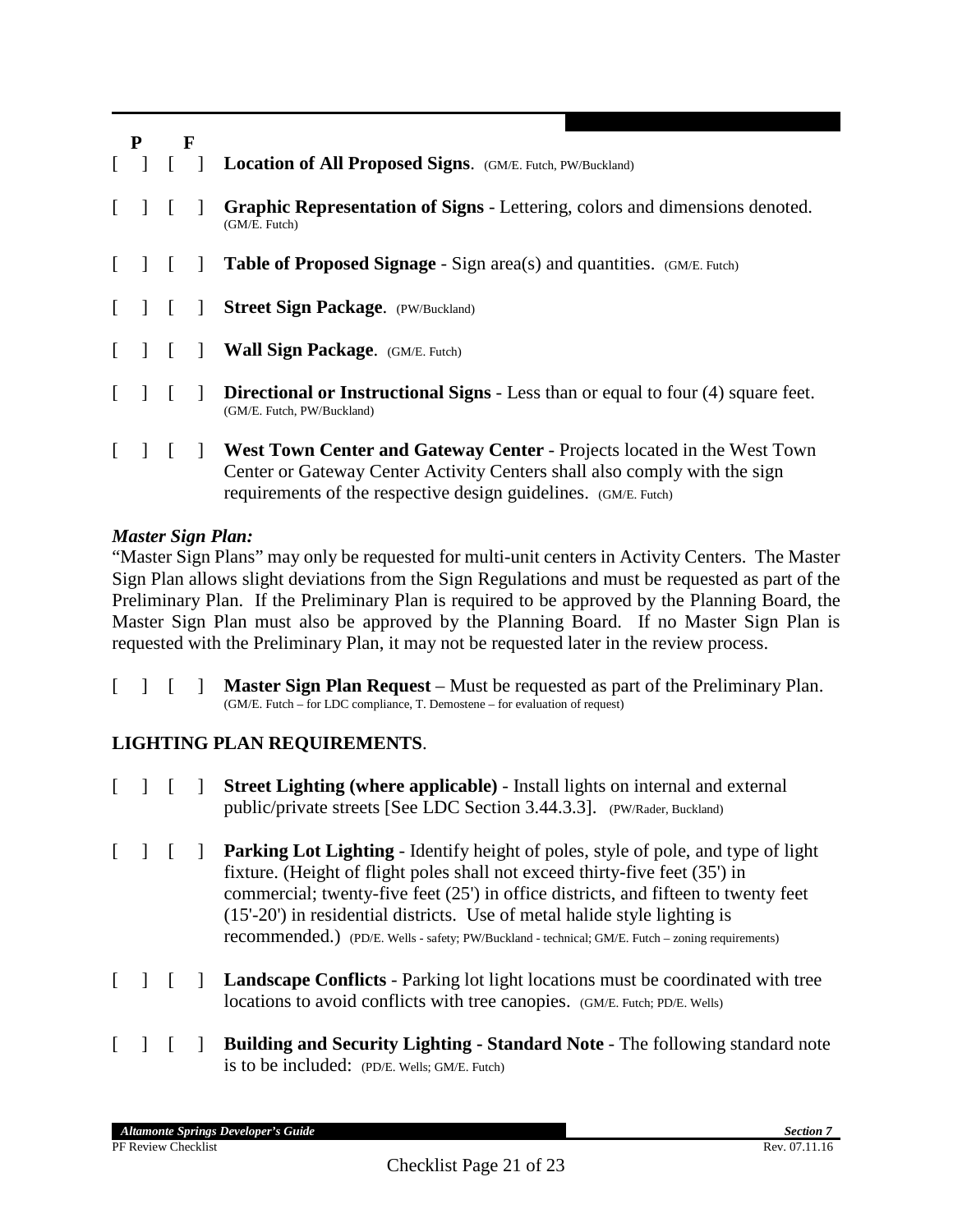| P | F |  |                                                                                                                                                                                                                         |
|---|---|--|-------------------------------------------------------------------------------------------------------------------------------------------------------------------------------------------------------------------------|
|   |   |  | <b>Location of All Proposed Signs.</b> (GM/E. Futch, PW/Buckland)                                                                                                                                                       |
|   |   |  | Graphic Representation of Signs - Lettering, colors and dimensions denoted.<br>(GM/E. Futch)                                                                                                                            |
|   |   |  | <b>Table of Proposed Signage - Sign area(s) and quantities.</b> (GM/E. Futch)                                                                                                                                           |
|   |   |  | <b>Street Sign Package.</b> (PW/Buckland)                                                                                                                                                                               |
|   |   |  | Wall Sign Package. (GM/E. Futch)                                                                                                                                                                                        |
|   |   |  | <b>Directional or Instructional Signs - Less than or equal to four (4) square feet.</b><br>(GM/E. Futch, PW/Buckland)                                                                                                   |
|   |   |  | West Town Center and Gateway Center - Projects located in the West Town<br>Center or Gateway Center Activity Centers shall also comply with the sign<br>requirements of the respective design guidelines. (GM/E. Futch) |

#### *Master Sign Plan:*

"Master Sign Plans" may only be requested for multi-unit centers in Activity Centers. The Master Sign Plan allows slight deviations from the Sign Regulations and must be requested as part of the Preliminary Plan. If the Preliminary Plan is required to be approved by the Planning Board, the Master Sign Plan must also be approved by the Planning Board. If no Master Sign Plan is requested with the Preliminary Plan, it may not be requested later in the review process.

[ ] [ ] **Master Sign Plan Request** – Must be requested as part of the Preliminary Plan. (GM/E. Futch – for LDC compliance, T. Demostene – for evaluation of request)

## **LIGHTING PLAN REQUIREMENTS**.

- [ ] [ ] **Street Lighting (where applicable)** Install lights on internal and external public/private streets [See LDC Section 3.44.3.3]. (PW/Rader, Buckland)
- [ ] [ ] **Parking Lot Lighting** Identify height of poles, style of pole, and type of light fixture. (Height of flight poles shall not exceed thirty-five feet (35') in commercial; twenty-five feet (25') in office districts, and fifteen to twenty feet (15'-20') in residential districts. Use of metal halide style lighting is recommended.) (PD/E. Wells - safety; PW/Buckland - technical; GM/E. Futch – zoning requirements)
- [ ] [ ] **Landscape Conflicts** Parking lot light locations must be coordinated with tree locations to avoid conflicts with tree canopies. (GM/E. Futch; PD/E. Wells)
- [ ] [ ] **Building and Security Lighting - Standard Note** The following standard note is to be included: (PD/E. Wells; GM/E. Futch)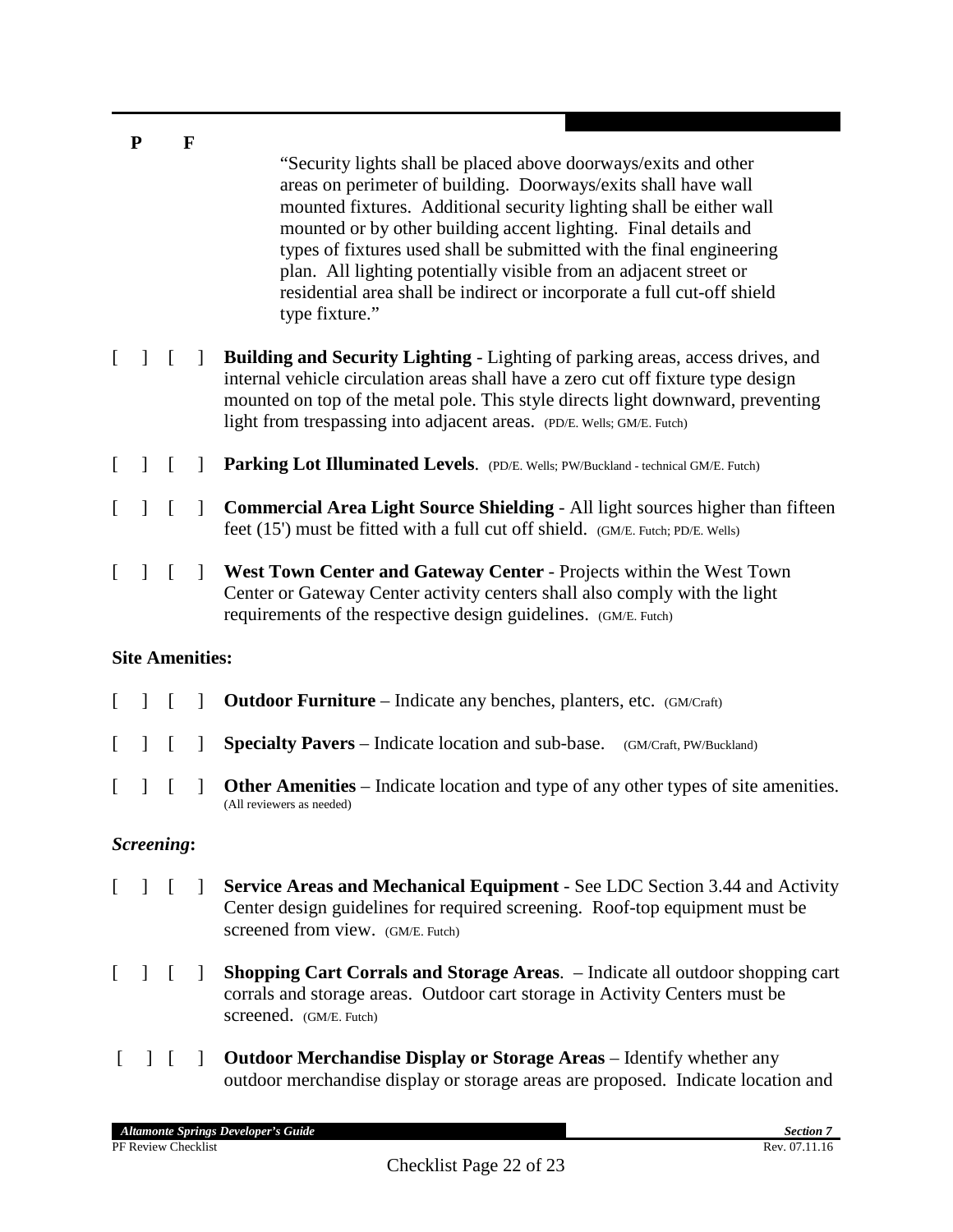|              | ${\bf P}$<br>F         |          |              |                                                                                                                                                                                                                                                                                                                                                                                                                                                                                                                       |  |  |  |
|--------------|------------------------|----------|--------------|-----------------------------------------------------------------------------------------------------------------------------------------------------------------------------------------------------------------------------------------------------------------------------------------------------------------------------------------------------------------------------------------------------------------------------------------------------------------------------------------------------------------------|--|--|--|
|              |                        |          |              | "Security lights shall be placed above doorways/exits and other<br>areas on perimeter of building. Doorways/exits shall have wall<br>mounted fixtures. Additional security lighting shall be either wall<br>mounted or by other building accent lighting. Final details and<br>types of fixtures used shall be submitted with the final engineering<br>plan. All lighting potentially visible from an adjacent street or<br>residential area shall be indirect or incorporate a full cut-off shield<br>type fixture." |  |  |  |
| $\mathbf{I}$ | $\mathbf{I}$           | $\lceil$ | $\perp$      | <b>Building and Security Lighting - Lighting of parking areas, access drives, and</b><br>internal vehicle circulation areas shall have a zero cut off fixture type design<br>mounted on top of the metal pole. This style directs light downward, preventing<br>light from trespassing into adjacent areas. (PD/E. Wells; GM/E. Futch)                                                                                                                                                                                |  |  |  |
|              | $\perp$                | $\lceil$ | $\mathbf{I}$ | Parking Lot Illuminated Levels. (PD/E. Wells; PW/Buckland - technical GM/E. Futch)                                                                                                                                                                                                                                                                                                                                                                                                                                    |  |  |  |
|              | 1                      | $\lceil$ | 1            | <b>Commercial Area Light Source Shielding - All light sources higher than fifteen</b><br>feet (15') must be fitted with a full cut off shield. (GM/E. Futch; PD/E. Wells)                                                                                                                                                                                                                                                                                                                                             |  |  |  |
|              |                        | $\Gamma$ | $\mathbf{I}$ | West Town Center and Gateway Center - Projects within the West Town<br>Center or Gateway Center activity centers shall also comply with the light<br>requirements of the respective design guidelines. (GM/E. Futch)                                                                                                                                                                                                                                                                                                  |  |  |  |
|              | <b>Site Amenities:</b> |          |              |                                                                                                                                                                                                                                                                                                                                                                                                                                                                                                                       |  |  |  |
|              |                        | $\lceil$ | $\mathbb{I}$ | <b>Outdoor Furniture</b> – Indicate any benches, planters, etc. (GM/Craft)                                                                                                                                                                                                                                                                                                                                                                                                                                            |  |  |  |
|              | I.                     | L        | J.           | <b>Specialty Pavers</b> – Indicate location and sub-base.<br>(GM/Craft, PW/Buckland)                                                                                                                                                                                                                                                                                                                                                                                                                                  |  |  |  |
|              |                        |          |              | <b>Other Amenities</b> – Indicate location and type of any other types of site amenities.<br>(All reviewers as needed)                                                                                                                                                                                                                                                                                                                                                                                                |  |  |  |
|              | Screening:             |          |              |                                                                                                                                                                                                                                                                                                                                                                                                                                                                                                                       |  |  |  |
|              |                        |          |              | Service Areas and Mechanical Equipment - See LDC Section 3.44 and Activity<br>Center design guidelines for required screening. Roof-top equipment must be<br>screened from view. (GM/E. Futch)                                                                                                                                                                                                                                                                                                                        |  |  |  |
|              | $\perp$                | $\Gamma$ | $\mathbf{1}$ | <b>Shopping Cart Corrals and Storage Areas.</b> – Indicate all outdoor shopping cart<br>corrals and storage areas. Outdoor cart storage in Activity Centers must be<br>SCreened. (GM/E. Futch)                                                                                                                                                                                                                                                                                                                        |  |  |  |
|              |                        |          |              | <b>Outdoor Merchandise Display or Storage Areas</b> – Identify whether any                                                                                                                                                                                                                                                                                                                                                                                                                                            |  |  |  |

outdoor merchandise display or storage areas are proposed. Indicate location and